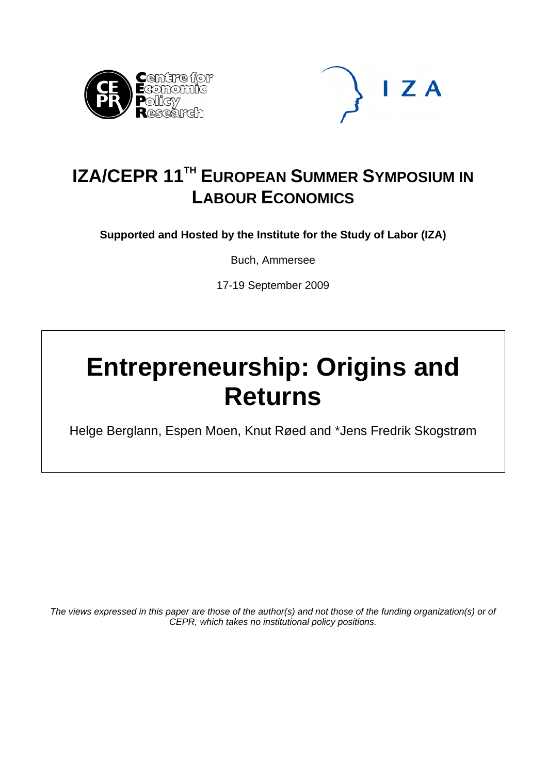



## **IZA/CEPR 11<sup>TH</sup> EUROPEAN SUMMER SYMPOSIUM IN LABOUR ECONOMICS**

**Supported and Hosted by the Institute for the Study of Labor (IZA)** 

Buch, Ammersee

17-19 September 2009

# **Entrepreneurship: Origins and Returns**

Helge Berglann, Espen Moen, Knut Røed and \*Jens Fredrik Skogstrøm

*The views expressed in this paper are those of the author(s) and not those of the funding organization(s) or of CEPR, which takes no institutional policy positions.*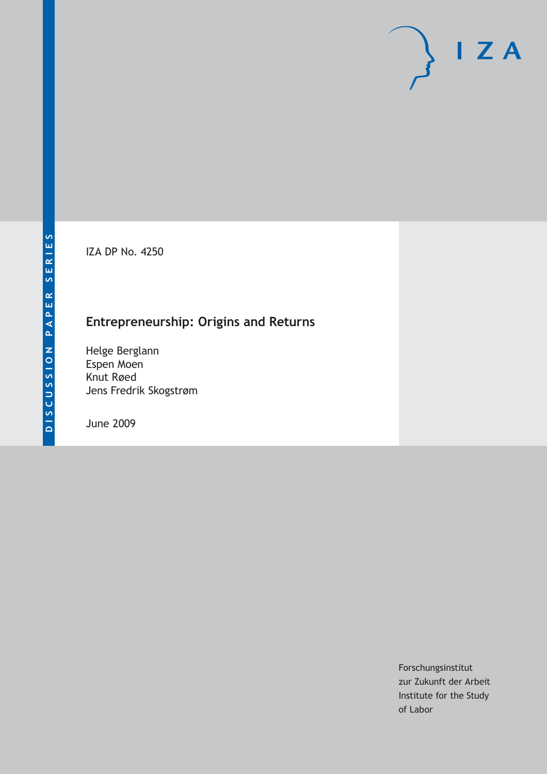IZA DP No. 4250

## **Entrepreneurship: Origins and Returns**

Helge Berglann Espen Moen Knut Røed Jens Fredrik Skogstrøm

June 2009

Forschungsinstitut zur Zukunft der Arbeit Institute for the Study of Labor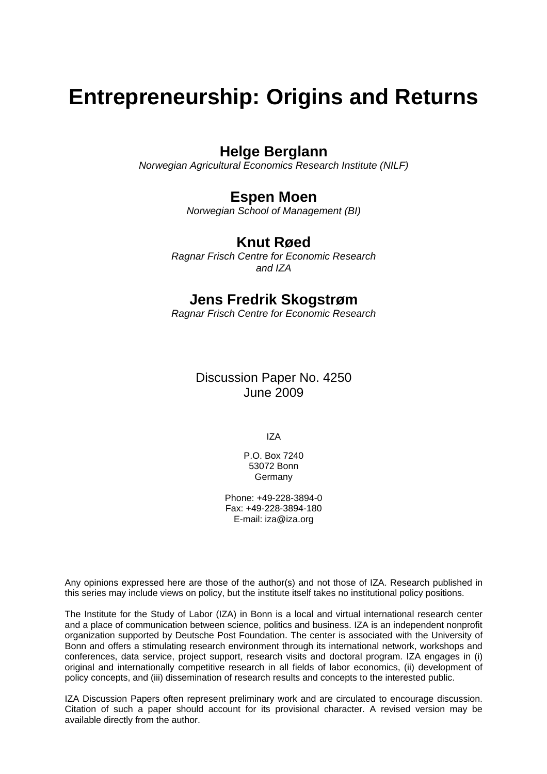## **Entrepreneurship: Origins and Returns**

## **Helge Berglann**

*Norwegian Agricultural Economics Research Institute (NILF)* 

## **Espen Moen**

*Norwegian School of Management (BI)* 

### **Knut Røed**

*Ragnar Frisch Centre for Economic Research and IZA* 

### **Jens Fredrik Skogstrøm**

*Ragnar Frisch Centre for Economic Research* 

### Discussion Paper No. 4250 June 2009

IZA

P.O. Box 7240 53072 Bonn Germany

Phone: +49-228-3894-0 Fax: +49-228-3894-180 E-mail: [iza@iza.org](mailto:iza@iza.org)

Any opinions expressed here are those of the author(s) and not those of IZA. Research published in this series may include views on policy, but the institute itself takes no institutional policy positions.

The Institute for the Study of Labor (IZA) in Bonn is a local and virtual international research center and a place of communication between science, politics and business. IZA is an independent nonprofit organization supported by Deutsche Post Foundation. The center is associated with the University of Bonn and offers a stimulating research environment through its international network, workshops and conferences, data service, project support, research visits and doctoral program. IZA engages in (i) original and internationally competitive research in all fields of labor economics, (ii) development of policy concepts, and (iii) dissemination of research results and concepts to the interested public.

IZA Discussion Papers often represent preliminary work and are circulated to encourage discussion. Citation of such a paper should account for its provisional character. A revised version may be available directly from the author.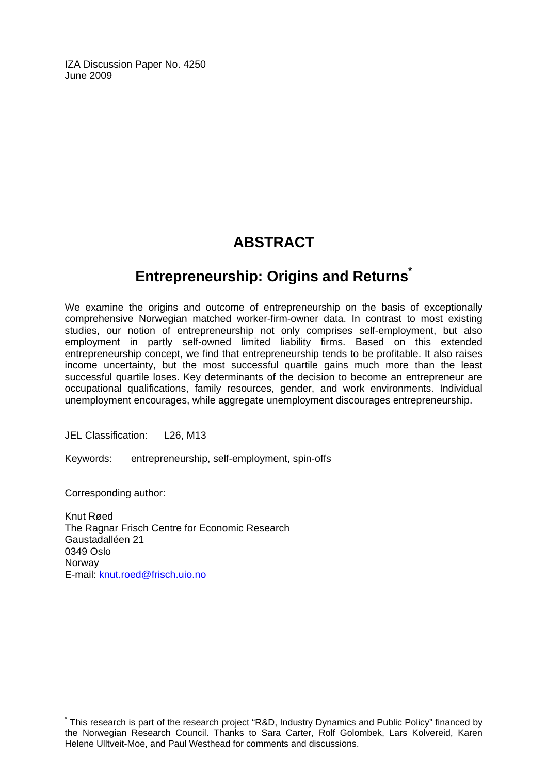IZA Discussion Paper No. 4250 June 2009

## **ABSTRACT**

## **Entrepreneurship: Origins and Return[s\\*](#page-3-0)**

We examine the origins and outcome of entrepreneurship on the basis of exceptionally comprehensive Norwegian matched worker-firm-owner data. In contrast to most existing studies, our notion of entrepreneurship not only comprises self-employment, but also employment in partly self-owned limited liability firms. Based on this extended entrepreneurship concept, we find that entrepreneurship tends to be profitable. It also raises income uncertainty, but the most successful quartile gains much more than the least successful quartile loses. Key determinants of the decision to become an entrepreneur are occupational qualifications, family resources, gender, and work environments. Individual unemployment encourages, while aggregate unemployment discourages entrepreneurship.

JEL Classification: L26, M13

Keywords: entrepreneurship, self-employment, spin-offs

Corresponding author:

 $\overline{a}$ 

Knut Røed The Ragnar Frisch Centre for Economic Research Gaustadalléen 21 0349 Oslo **Norway** E-mail: [knut.roed@frisch.uio.no](mailto:knut.roed@frisch.uio.no)

<span id="page-3-0"></span><sup>\*</sup> This research is part of the research project "R&D, Industry Dynamics and Public Policy" financed by the Norwegian Research Council. Thanks to Sara Carter, Rolf Golombek, Lars Kolvereid, Karen Helene Ulltveit-Moe, and Paul Westhead for comments and discussions.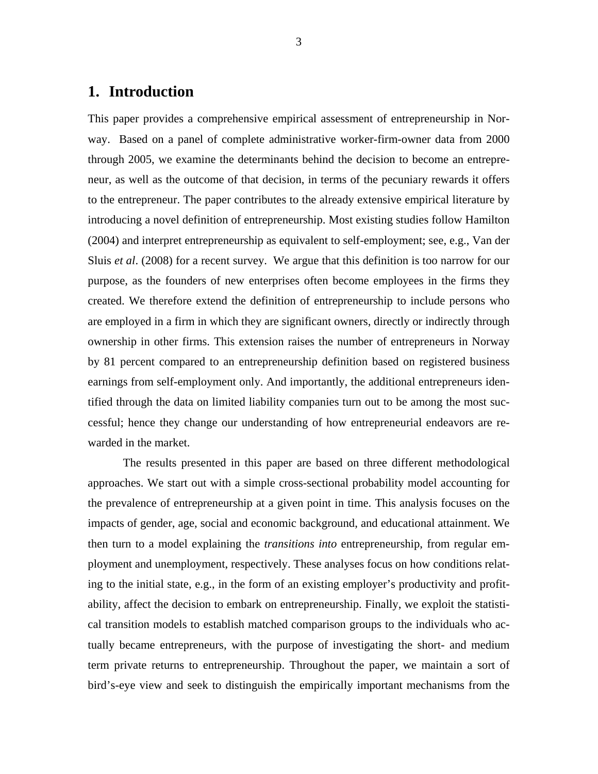#### **1. Introduction**

This paper provides a comprehensive empirical assessment of entrepreneurship in Norway. Based on a panel of complete administrative worker-firm-owner data from 2000 through 2005, we examine the determinants behind the decision to become an entrepreneur, as well as the outcome of that decision, in terms of the pecuniary rewards it offers to the entrepreneur. The paper contributes to the already extensive empirical literature by introducing a novel definition of entrepreneurship. Most existing studies follow Hamilton (2004) and interpret entrepreneurship as equivalent to self-employment; see, e.g., Van der Sluis *et al*. (2008) for a recent survey. We argue that this definition is too narrow for our purpose, as the founders of new enterprises often become employees in the firms they created. We therefore extend the definition of entrepreneurship to include persons who are employed in a firm in which they are significant owners, directly or indirectly through ownership in other firms. This extension raises the number of entrepreneurs in Norway by 81 percent compared to an entrepreneurship definition based on registered business earnings from self-employment only. And importantly, the additional entrepreneurs identified through the data on limited liability companies turn out to be among the most successful; hence they change our understanding of how entrepreneurial endeavors are rewarded in the market.

The results presented in this paper are based on three different methodological approaches. We start out with a simple cross-sectional probability model accounting for the prevalence of entrepreneurship at a given point in time. This analysis focuses on the impacts of gender, age, social and economic background, and educational attainment. We then turn to a model explaining the *transitions into* entrepreneurship, from regular employment and unemployment, respectively. These analyses focus on how conditions relating to the initial state, e.g., in the form of an existing employer's productivity and profitability, affect the decision to embark on entrepreneurship. Finally, we exploit the statistical transition models to establish matched comparison groups to the individuals who actually became entrepreneurs, with the purpose of investigating the short- and medium term private returns to entrepreneurship. Throughout the paper, we maintain a sort of bird's-eye view and seek to distinguish the empirically important mechanisms from the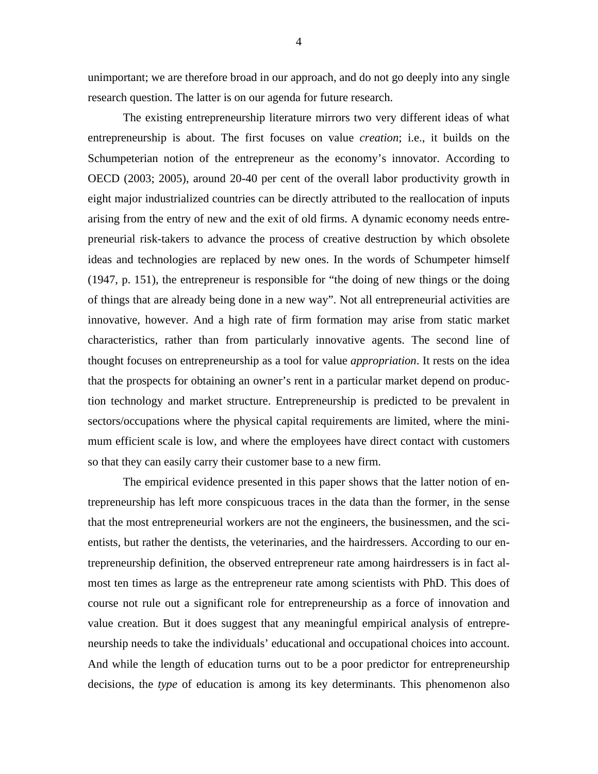unimportant; we are therefore broad in our approach, and do not go deeply into any single research question. The latter is on our agenda for future research.

The existing entrepreneurship literature mirrors two very different ideas of what entrepreneurship is about. The first focuses on value *creation*; i.e., it builds on the Schumpeterian notion of the entrepreneur as the economy's innovator. According to OECD (2003; 2005), around 20-40 per cent of the overall labor productivity growth in eight major industrialized countries can be directly attributed to the reallocation of inputs arising from the entry of new and the exit of old firms. A dynamic economy needs entrepreneurial risk-takers to advance the process of creative destruction by which obsolete ideas and technologies are replaced by new ones. In the words of Schumpeter himself (1947, p. 151), the entrepreneur is responsible for "the doing of new things or the doing of things that are already being done in a new way". Not all entrepreneurial activities are innovative, however. And a high rate of firm formation may arise from static market characteristics, rather than from particularly innovative agents. The second line of thought focuses on entrepreneurship as a tool for value *appropriation*. It rests on the idea that the prospects for obtaining an owner's rent in a particular market depend on production technology and market structure. Entrepreneurship is predicted to be prevalent in sectors/occupations where the physical capital requirements are limited, where the minimum efficient scale is low, and where the employees have direct contact with customers so that they can easily carry their customer base to a new firm.

The empirical evidence presented in this paper shows that the latter notion of entrepreneurship has left more conspicuous traces in the data than the former, in the sense that the most entrepreneurial workers are not the engineers, the businessmen, and the scientists, but rather the dentists, the veterinaries, and the hairdressers. According to our entrepreneurship definition, the observed entrepreneur rate among hairdressers is in fact almost ten times as large as the entrepreneur rate among scientists with PhD. This does of course not rule out a significant role for entrepreneurship as a force of innovation and value creation. But it does suggest that any meaningful empirical analysis of entrepreneurship needs to take the individuals' educational and occupational choices into account. And while the length of education turns out to be a poor predictor for entrepreneurship decisions, the *type* of education is among its key determinants. This phenomenon also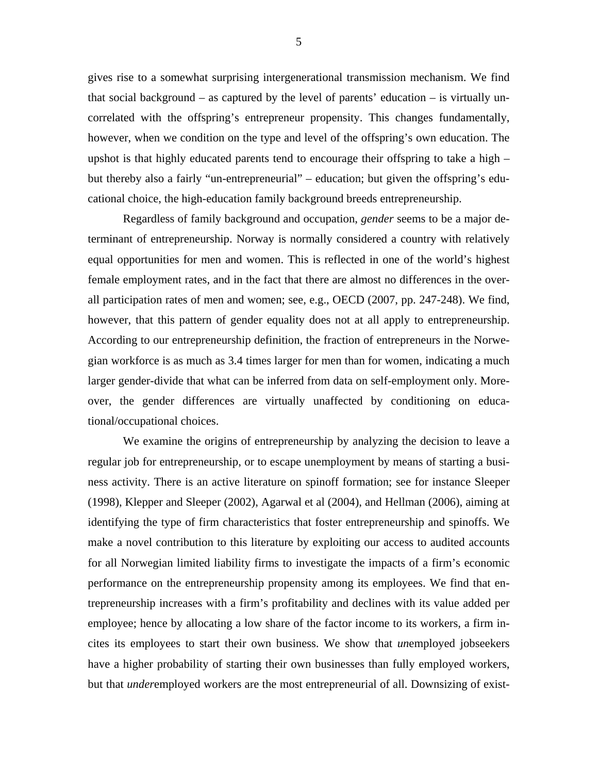gives rise to a somewhat surprising intergenerational transmission mechanism. We find that social background – as captured by the level of parents' education – is virtually uncorrelated with the offspring's entrepreneur propensity. This changes fundamentally, however, when we condition on the type and level of the offspring's own education. The upshot is that highly educated parents tend to encourage their offspring to take a high – but thereby also a fairly "un-entrepreneurial" – education; but given the offspring's educational choice, the high-education family background breeds entrepreneurship.

Regardless of family background and occupation, *gender* seems to be a major determinant of entrepreneurship. Norway is normally considered a country with relatively equal opportunities for men and women. This is reflected in one of the world's highest female employment rates, and in the fact that there are almost no differences in the overall participation rates of men and women; see, e.g., OECD (2007, pp. 247-248). We find, however, that this pattern of gender equality does not at all apply to entrepreneurship. According to our entrepreneurship definition, the fraction of entrepreneurs in the Norwegian workforce is as much as 3.4 times larger for men than for women, indicating a much larger gender-divide that what can be inferred from data on self-employment only. Moreover, the gender differences are virtually unaffected by conditioning on educational/occupational choices.

We examine the origins of entrepreneurship by analyzing the decision to leave a regular job for entrepreneurship, or to escape unemployment by means of starting a business activity. There is an active literature on spinoff formation; see for instance Sleeper (1998), Klepper and Sleeper (2002), Agarwal et al (2004), and Hellman (2006), aiming at identifying the type of firm characteristics that foster entrepreneurship and spinoffs. We make a novel contribution to this literature by exploiting our access to audited accounts for all Norwegian limited liability firms to investigate the impacts of a firm's economic performance on the entrepreneurship propensity among its employees. We find that entrepreneurship increases with a firm's profitability and declines with its value added per employee; hence by allocating a low share of the factor income to its workers, a firm incites its employees to start their own business. We show that *un*employed jobseekers have a higher probability of starting their own businesses than fully employed workers, but that *under*employed workers are the most entrepreneurial of all. Downsizing of exist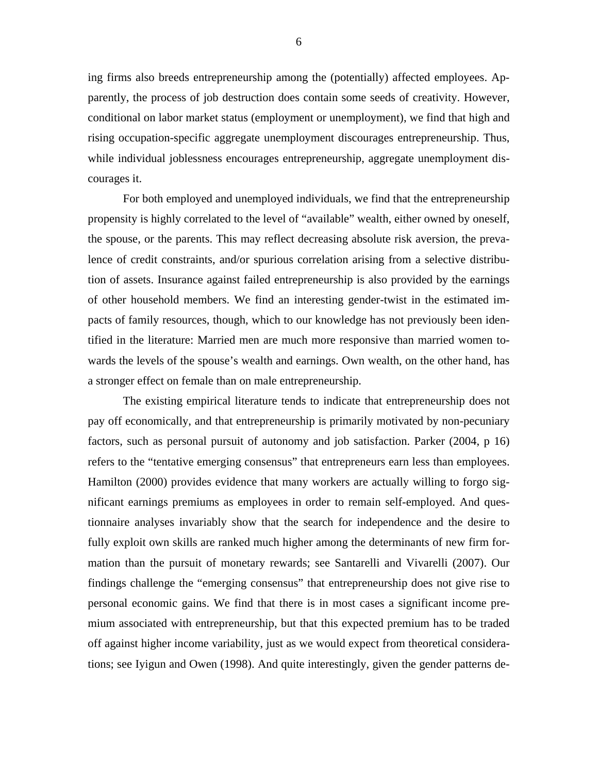ing firms also breeds entrepreneurship among the (potentially) affected employees. Apparently, the process of job destruction does contain some seeds of creativity. However, conditional on labor market status (employment or unemployment), we find that high and rising occupation-specific aggregate unemployment discourages entrepreneurship. Thus, while individual joblessness encourages entrepreneurship, aggregate unemployment discourages it.

For both employed and unemployed individuals, we find that the entrepreneurship propensity is highly correlated to the level of "available" wealth, either owned by oneself, the spouse, or the parents. This may reflect decreasing absolute risk aversion, the prevalence of credit constraints, and/or spurious correlation arising from a selective distribution of assets. Insurance against failed entrepreneurship is also provided by the earnings of other household members. We find an interesting gender-twist in the estimated impacts of family resources, though, which to our knowledge has not previously been identified in the literature: Married men are much more responsive than married women towards the levels of the spouse's wealth and earnings. Own wealth, on the other hand, has a stronger effect on female than on male entrepreneurship.

The existing empirical literature tends to indicate that entrepreneurship does not pay off economically, and that entrepreneurship is primarily motivated by non-pecuniary factors, such as personal pursuit of autonomy and job satisfaction. Parker (2004, p 16) refers to the "tentative emerging consensus" that entrepreneurs earn less than employees. Hamilton (2000) provides evidence that many workers are actually willing to forgo significant earnings premiums as employees in order to remain self-employed. And questionnaire analyses invariably show that the search for independence and the desire to fully exploit own skills are ranked much higher among the determinants of new firm formation than the pursuit of monetary rewards; see Santarelli and Vivarelli (2007). Our findings challenge the "emerging consensus" that entrepreneurship does not give rise to personal economic gains. We find that there is in most cases a significant income premium associated with entrepreneurship, but that this expected premium has to be traded off against higher income variability, just as we would expect from theoretical considerations; see Iyigun and Owen (1998). And quite interestingly, given the gender patterns de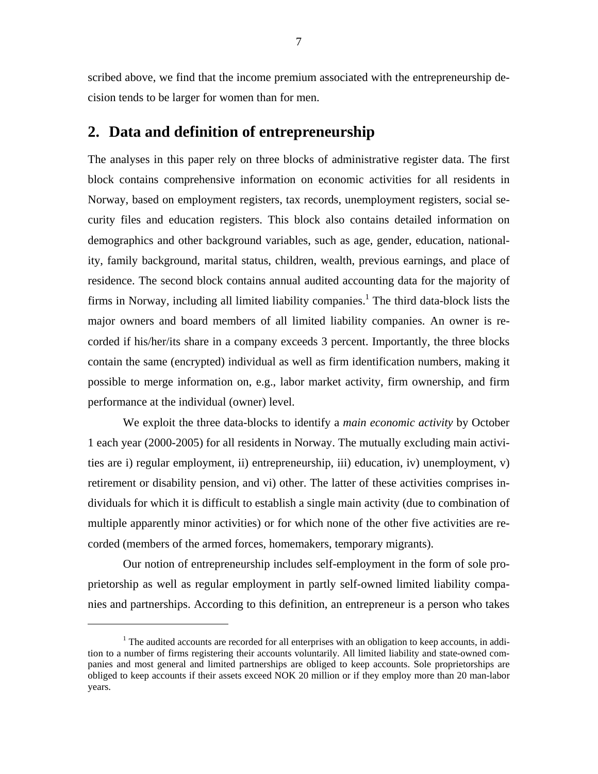scribed above, we find that the income premium associated with the entrepreneurship decision tends to be larger for women than for men.

#### **2. Data and definition of entrepreneurship**

The analyses in this paper rely on three blocks of administrative register data. The first block contains comprehensive information on economic activities for all residents in Norway, based on employment registers, tax records, unemployment registers, social security files and education registers. This block also contains detailed information on demographics and other background variables, such as age, gender, education, nationality, family background, marital status, children, wealth, previous earnings, and place of residence. The second block contains annual audited accounting data for the majority of firms in Norway, including all limited liability companies.<sup>1</sup> The third data-block lists the major owners and board members of all limited liability companies. An owner is recorded if his/her/its share in a company exceeds 3 percent. Importantly, the three blocks contain the same (encrypted) individual as well as firm identification numbers, making it possible to merge information on, e.g., labor market activity, firm ownership, and firm performance at the individual (owner) level.

 We exploit the three data-blocks to identify a *main economic activity* by October 1 each year (2000-2005) for all residents in Norway. The mutually excluding main activities are i) regular employment, ii) entrepreneurship, iii) education, iv) unemployment, v) retirement or disability pension, and vi) other. The latter of these activities comprises individuals for which it is difficult to establish a single main activity (due to combination of multiple apparently minor activities) or for which none of the other five activities are recorded (members of the armed forces, homemakers, temporary migrants).

Our notion of entrepreneurship includes self-employment in the form of sole proprietorship as well as regular employment in partly self-owned limited liability companies and partnerships. According to this definition, an entrepreneur is a person who takes

 $\overline{a}$ 

 $1$  The audited accounts are recorded for all enterprises with an obligation to keep accounts, in addition to a number of firms registering their accounts voluntarily. All limited liability and state-owned companies and most general and limited partnerships are obliged to keep accounts. Sole proprietorships are obliged to keep accounts if their assets exceed NOK 20 million or if they employ more than 20 man-labor years.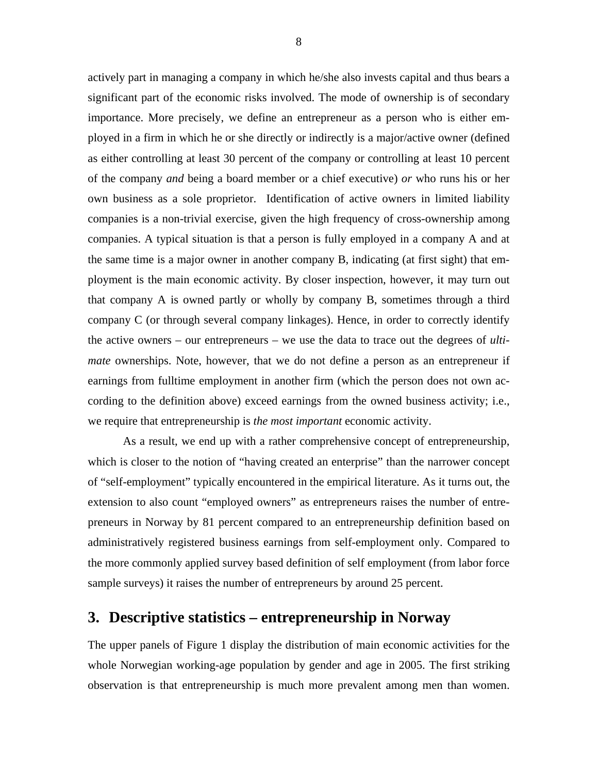actively part in managing a company in which he/she also invests capital and thus bears a significant part of the economic risks involved. The mode of ownership is of secondary importance. More precisely, we define an entrepreneur as a person who is either employed in a firm in which he or she directly or indirectly is a major/active owner (defined as either controlling at least 30 percent of the company or controlling at least 10 percent of the company *and* being a board member or a chief executive) *or* who runs his or her own business as a sole proprietor. Identification of active owners in limited liability companies is a non-trivial exercise, given the high frequency of cross-ownership among companies. A typical situation is that a person is fully employed in a company A and at the same time is a major owner in another company B, indicating (at first sight) that employment is the main economic activity. By closer inspection, however, it may turn out that company A is owned partly or wholly by company B, sometimes through a third company C (or through several company linkages). Hence, in order to correctly identify the active owners – our entrepreneurs – we use the data to trace out the degrees of *ultimate* ownerships. Note, however, that we do not define a person as an entrepreneur if earnings from fulltime employment in another firm (which the person does not own according to the definition above) exceed earnings from the owned business activity; i.e., we require that entrepreneurship is *the most important* economic activity.

As a result, we end up with a rather comprehensive concept of entrepreneurship, which is closer to the notion of "having created an enterprise" than the narrower concept of "self-employment" typically encountered in the empirical literature. As it turns out, the extension to also count "employed owners" as entrepreneurs raises the number of entrepreneurs in Norway by 81 percent compared to an entrepreneurship definition based on administratively registered business earnings from self-employment only. Compared to the more commonly applied survey based definition of self employment (from labor force sample surveys) it raises the number of entrepreneurs by around 25 percent.

## **3. Descriptive statistics – entrepreneurship in Norway**

The upper panels of Figure 1 display the distribution of main economic activities for the whole Norwegian working-age population by gender and age in 2005. The first striking observation is that entrepreneurship is much more prevalent among men than women.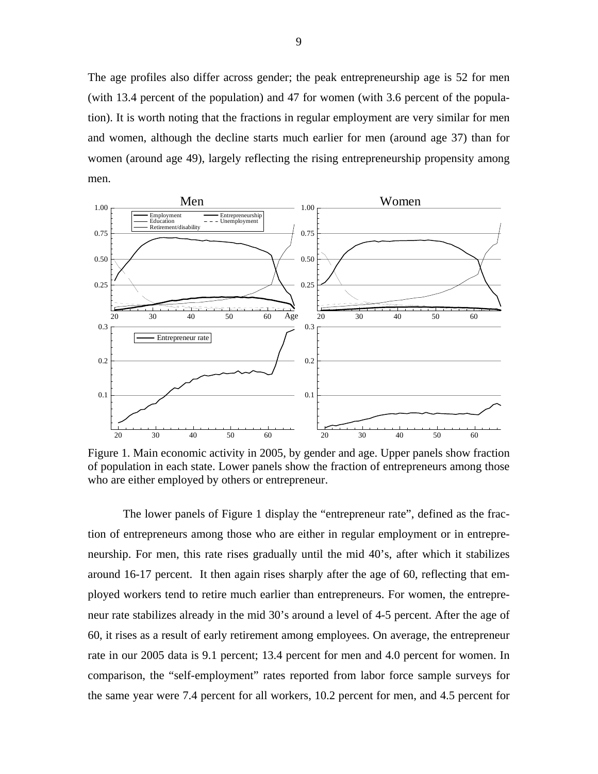The age profiles also differ across gender; the peak entrepreneurship age is 52 for men (with 13.4 percent of the population) and 47 for women (with 3.6 percent of the population). It is worth noting that the fractions in regular employment are very similar for men and women, although the decline starts much earlier for men (around age 37) than for women (around age 49), largely reflecting the rising entrepreneurship propensity among men.



Figure 1. Main economic activity in 2005, by gender and age. Upper panels show fraction of population in each state. Lower panels show the fraction of entrepreneurs among those who are either employed by others or entrepreneur.

The lower panels of Figure 1 display the "entrepreneur rate", defined as the fraction of entrepreneurs among those who are either in regular employment or in entrepreneurship. For men, this rate rises gradually until the mid 40's, after which it stabilizes around 16-17 percent. It then again rises sharply after the age of 60, reflecting that employed workers tend to retire much earlier than entrepreneurs. For women, the entrepreneur rate stabilizes already in the mid 30's around a level of 4-5 percent. After the age of 60, it rises as a result of early retirement among employees. On average, the entrepreneur rate in our 2005 data is 9.1 percent; 13.4 percent for men and 4.0 percent for women. In comparison, the "self-employment" rates reported from labor force sample surveys for the same year were 7.4 percent for all workers, 10.2 percent for men, and 4.5 percent for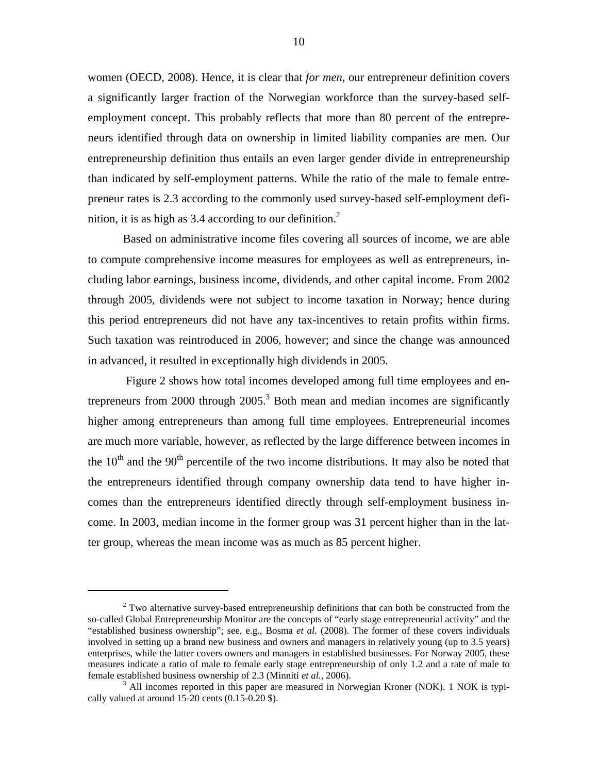women (OECD, 2008). Hence, it is clear that *for men*, our entrepreneur definition covers a significantly larger fraction of the Norwegian workforce than the survey-based selfemployment concept. This probably reflects that more than 80 percent of the entrepreneurs identified through data on ownership in limited liability companies are men. Our entrepreneurship definition thus entails an even larger gender divide in entrepreneurship than indicated by self-employment patterns. While the ratio of the male to female entrepreneur rates is 2.3 according to the commonly used survey-based self-employment definition, it is as high as 3.4 according to our definition.<sup>2</sup>

Based on administrative income files covering all sources of income, we are able to compute comprehensive income measures for employees as well as entrepreneurs, including labor earnings, business income, dividends, and other capital income. From 2002 through 2005, dividends were not subject to income taxation in Norway; hence during this period entrepreneurs did not have any tax-incentives to retain profits within firms. Such taxation was reintroduced in 2006, however; and since the change was announced in advanced, it resulted in exceptionally high dividends in 2005.

 Figure 2 shows how total incomes developed among full time employees and entrepreneurs from 2000 through  $2005$ .<sup>3</sup> Both mean and median incomes are significantly higher among entrepreneurs than among full time employees. Entrepreneurial incomes are much more variable, however, as reflected by the large difference between incomes in the  $10<sup>th</sup>$  and the  $90<sup>th</sup>$  percentile of the two income distributions. It may also be noted that the entrepreneurs identified through company ownership data tend to have higher incomes than the entrepreneurs identified directly through self-employment business income. In 2003, median income in the former group was 31 percent higher than in the latter group, whereas the mean income was as much as 85 percent higher.

 $\overline{a}$ 

 $2^{2}$  Two alternative survey-based entrepreneurship definitions that can both be constructed from the so-called Global Entrepreneurship Monitor are the concepts of "early stage entrepreneurial activity" and the "established business ownership"; see, e.g., Bosma *et al.* (2008). The former of these covers individuals involved in setting up a brand new business and owners and managers in relatively young (up to 3.5 years) enterprises, while the latter covers owners and managers in established businesses. For Norway 2005, these measures indicate a ratio of male to female early stage entrepreneurship of only 1.2 and a rate of male to female established business ownership of 2.3 (Minniti *et al.*, 2006).

<sup>&</sup>lt;sup>3</sup> All incomes reported in this paper are measured in Norwegian Kroner (NOK). 1 NOK is typically valued at around  $15-20$  cents  $(0.15-0.20 \text{$ ).}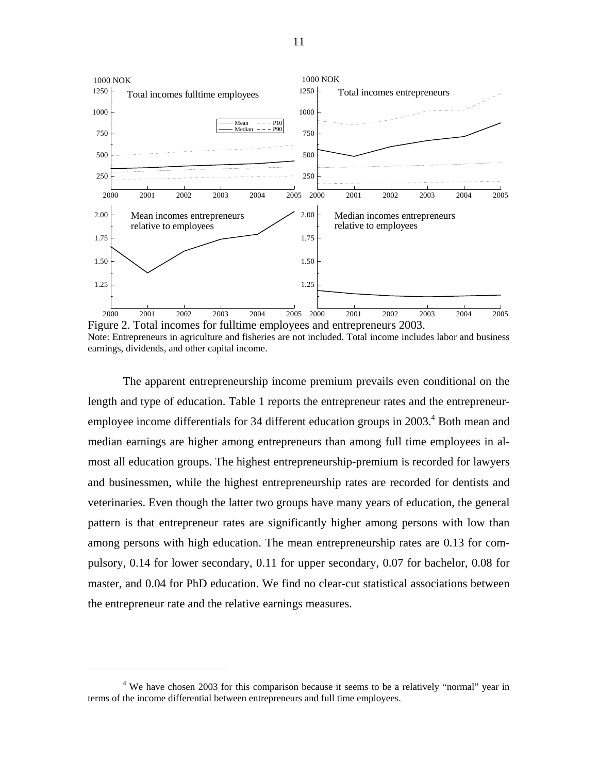

Figure 2. Total incomes for fulltime employees and entrepreneurs 2003. Note: Entrepreneurs in agriculture and fisheries are not included. Total income includes labor and business earnings, dividends, and other capital income.

The apparent entrepreneurship income premium prevails even conditional on the length and type of education. Table 1 reports the entrepreneur rates and the entrepreneuremployee income differentials for 34 different education groups in 2003.<sup>4</sup> Both mean and median earnings are higher among entrepreneurs than among full time employees in almost all education groups. The highest entrepreneurship-premium is recorded for lawyers and businessmen, while the highest entrepreneurship rates are recorded for dentists and veterinaries. Even though the latter two groups have many years of education, the general pattern is that entrepreneur rates are significantly higher among persons with low than among persons with high education. The mean entrepreneurship rates are 0.13 for compulsory, 0.14 for lower secondary, 0.11 for upper secondary, 0.07 for bachelor, 0.08 for master, and 0.04 for PhD education. We find no clear-cut statistical associations between the entrepreneur rate and the relative earnings measures.

 $\overline{a}$ 

<sup>&</sup>lt;sup>4</sup> We have chosen 2003 for this comparison because it seems to be a relatively "normal" year in terms of the income differential between entrepreneurs and full time employees.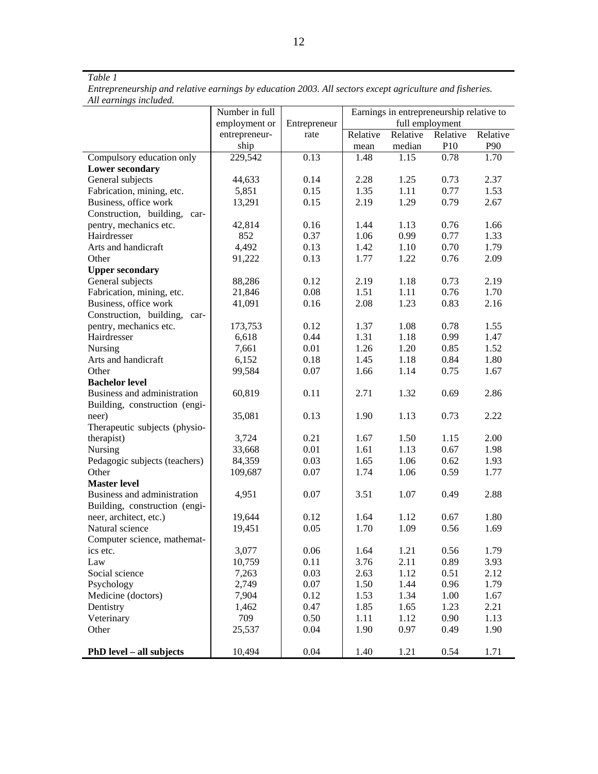#### *Table 1*

*Entrepreneurship and relative earnings by education 2003. All sectors except agriculture and fisheries. All earnings included.* 

|                               | Number in full |              | Earnings in entrepreneurship relative to |          |                 |          |
|-------------------------------|----------------|--------------|------------------------------------------|----------|-----------------|----------|
|                               | employment or  | Entrepreneur |                                          |          | full employment |          |
|                               | entrepreneur-  | rate         | Relative                                 | Relative | Relative        | Relative |
|                               | ship           |              | mean                                     | median   | P10             | P90      |
| Compulsory education only     | 229,542        | 0.13         | 1.48                                     | 1.15     | 0.78            | 1.70     |
| <b>Lower secondary</b>        |                |              |                                          |          |                 |          |
| General subjects              | 44,633         | 0.14         | 2.28                                     | 1.25     | 0.73            | 2.37     |
| Fabrication, mining, etc.     | 5,851          | 0.15         | 1.35                                     | 1.11     | 0.77            | 1.53     |
| Business, office work         | 13,291         | 0.15         | 2.19                                     | 1.29     | 0.79            | 2.67     |
| Construction, building, car-  |                |              |                                          |          |                 |          |
| pentry, mechanics etc.        | 42,814         | 0.16         | 1.44                                     | 1.13     | 0.76            | 1.66     |
| Hairdresser                   | 852            | 0.37         | 1.06                                     | 0.99     | 0.77            | 1.33     |
| Arts and handicraft           | 4,492          | 0.13         | 1.42                                     | 1.10     | 0.70            | 1.79     |
| Other                         | 91,222         | 0.13         | 1.77                                     | 1.22     | 0.76            | 2.09     |
| <b>Upper secondary</b>        |                |              |                                          |          |                 |          |
| General subjects              | 88,286         | 0.12         | 2.19                                     | 1.18     | 0.73            | 2.19     |
| Fabrication, mining, etc.     | 21,846         | 0.08         | 1.51                                     | 1.11     | 0.76            | 1.70     |
| Business, office work         | 41,091         | 0.16         | 2.08                                     | 1.23     | 0.83            | 2.16     |
| Construction, building, car-  |                |              |                                          |          |                 |          |
| pentry, mechanics etc.        | 173,753        | 0.12         | 1.37                                     | 1.08     | 0.78            | 1.55     |
| Hairdresser                   | 6,618          | 0.44         | 1.31                                     | 1.18     | 0.99            | 1.47     |
| <b>Nursing</b>                | 7,661          | 0.01         | 1.26                                     | 1.20     | 0.85            | 1.52     |
| Arts and handicraft           | 6,152          | 0.18         | 1.45                                     | 1.18     | 0.84            | 1.80     |
| Other                         | 99,584         | 0.07         | 1.66                                     | 1.14     | 0.75            | 1.67     |
| <b>Bachelor level</b>         |                |              |                                          |          |                 |          |
| Business and administration   | 60,819         | 0.11         | 2.71                                     | 1.32     | 0.69            | 2.86     |
| Building, construction (engi- |                |              |                                          |          |                 |          |
| neer)                         | 35,081         | 0.13         | 1.90                                     | 1.13     | 0.73            | 2.22     |
| Therapeutic subjects (physio- |                |              |                                          |          |                 |          |
| therapist)                    | 3,724          | 0.21         | 1.67                                     | 1.50     | 1.15            | 2.00     |
| Nursing                       | 33,668         | 0.01         | 1.61                                     | 1.13     | 0.67            | 1.98     |
| Pedagogic subjects (teachers) | 84,359         | 0.03         | 1.65                                     | 1.06     | 0.62            | 1.93     |
| Other                         | 109,687        | 0.07         | 1.74                                     | 1.06     | 0.59            | 1.77     |
| <b>Master level</b>           |                |              |                                          |          |                 |          |
| Business and administration   | 4,951          | 0.07         | 3.51                                     | 1.07     | 0.49            | 2.88     |
| Building, construction (engi- |                |              |                                          |          |                 |          |
| neer, architect, etc.)        | 19,644         | 0.12         | 1.64                                     | 1.12     | 0.67            | 1.80     |
| Natural science               | 19,451         | 0.05         | 1.70                                     | 1.09     | 0.56            | 1.69     |
| Computer science, mathemat-   |                |              |                                          |          |                 |          |
| ics etc.                      | 3,077          | 0.06         | 1.64                                     | 1.21     | 0.56            | 1.79     |
| Law                           | 10,759         | 0.11         | 3.76                                     | 2.11     | 0.89            | 3.93     |
| Social science                | 7,263          | 0.03         | 2.63                                     | 1.12     | 0.51            | 2.12     |
| Psychology                    | 2,749          | 0.07         | 1.50                                     | 1.44     | 0.96            | 1.79     |
| Medicine (doctors)            | 7,904          | 0.12         | 1.53                                     | 1.34     | 1.00            | 1.67     |
| Dentistry                     | 1,462          | 0.47         | 1.85                                     | 1.65     | 1.23            | 2.21     |
| Veterinary                    | 709            | 0.50         | 1.11                                     | 1.12     | 0.90            | 1.13     |
| Other                         | 25,537         | 0.04         | 1.90                                     | 0.97     | 0.49            | 1.90     |
|                               |                |              |                                          |          |                 |          |
| PhD level - all subjects      | 10,494         | 0.04         | 1.40                                     | 1.21     | 0.54            | 1.71     |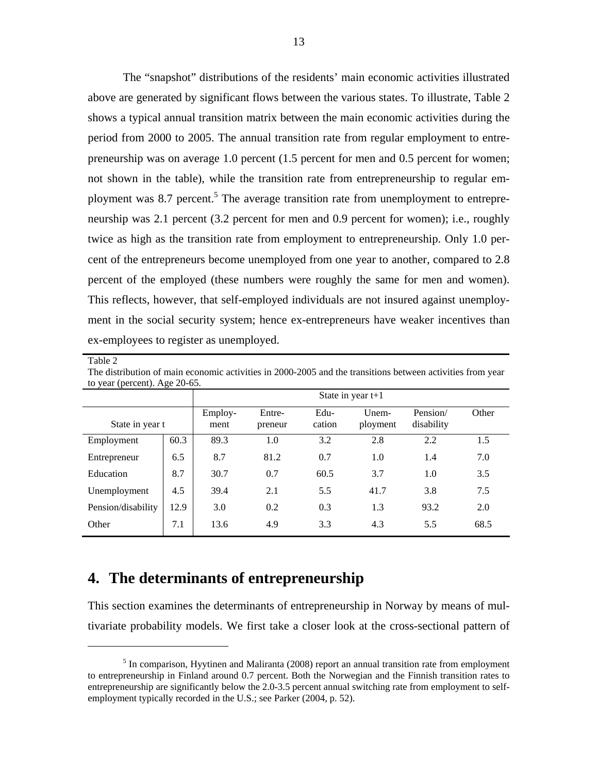The "snapshot" distributions of the residents' main economic activities illustrated above are generated by significant flows between the various states. To illustrate, Table 2 shows a typical annual transition matrix between the main economic activities during the period from 2000 to 2005. The annual transition rate from regular employment to entrepreneurship was on average 1.0 percent (1.5 percent for men and 0.5 percent for women; not shown in the table), while the transition rate from entrepreneurship to regular employment was 8.7 percent.<sup>5</sup> The average transition rate from unemployment to entrepreneurship was 2.1 percent (3.2 percent for men and 0.9 percent for women); i.e., roughly twice as high as the transition rate from employment to entrepreneurship. Only 1.0 percent of the entrepreneurs become unemployed from one year to another, compared to 2.8 percent of the employed (these numbers were roughly the same for men and women). This reflects, however, that self-employed individuals are not insured against unemployment in the social security system; hence ex-entrepreneurs have weaker incentives than ex-employees to register as unemployed.

| г<br>٠ |
|--------|
|--------|

 $\overline{a}$ 

The distribution of main economic activities in 2000-2005 and the transitions between activities from year to year (percent). Age 20-65.

|                    |      | State in year $t+1$ |                   |                |                   |                        |       |  |
|--------------------|------|---------------------|-------------------|----------------|-------------------|------------------------|-------|--|
| State in year t    |      | Employ-<br>ment     | Entre-<br>preneur | Edu-<br>cation | Unem-<br>ployment | Pension/<br>disability | Other |  |
| Employment         | 60.3 | 89.3                | 1.0               | 3.2            | 2.8               | 2.2                    | 1.5   |  |
| Entrepreneur       | 6.5  | 8.7                 | 81.2              | 0.7            | 1.0               | 1.4                    | 7.0   |  |
| Education          | 8.7  | 30.7                | 0.7               | 60.5           | 3.7               | 1.0                    | 3.5   |  |
| Unemployment       | 4.5  | 39.4                | 2.1               | 5.5            | 41.7              | 3.8                    | 7.5   |  |
| Pension/disability | 12.9 | 3.0                 | 0.2               | 0.3            | 1.3               | 93.2                   | 2.0   |  |
| Other              | 7.1  | 13.6                | 4.9               | 3.3            | 4.3               | 5.5                    | 68.5  |  |

## **4. The determinants of entrepreneurship**

This section examines the determinants of entrepreneurship in Norway by means of multivariate probability models. We first take a closer look at the cross-sectional pattern of

 $<sup>5</sup>$  In comparison, Hyytinen and Maliranta (2008) report an annual transition rate from employment</sup> to entrepreneurship in Finland around 0.7 percent. Both the Norwegian and the Finnish transition rates to entrepreneurship are significantly below the 2.0-3.5 percent annual switching rate from employment to selfemployment typically recorded in the U.S.; see Parker (2004, p. 52).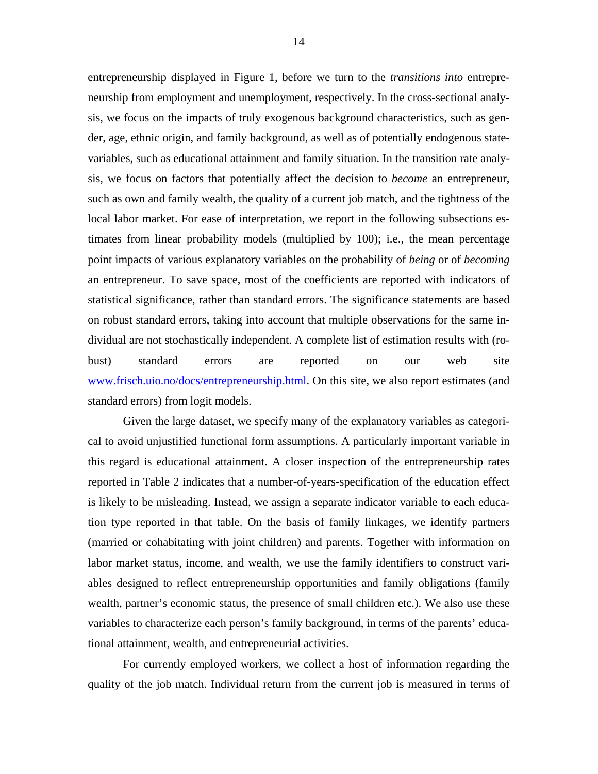entrepreneurship displayed in Figure 1, before we turn to the *transitions into* entrepreneurship from employment and unemployment, respectively. In the cross-sectional analysis, we focus on the impacts of truly exogenous background characteristics, such as gender, age, ethnic origin, and family background, as well as of potentially endogenous statevariables, such as educational attainment and family situation. In the transition rate analysis, we focus on factors that potentially affect the decision to *become* an entrepreneur, such as own and family wealth, the quality of a current job match, and the tightness of the local labor market. For ease of interpretation, we report in the following subsections estimates from linear probability models (multiplied by 100); i.e., the mean percentage point impacts of various explanatory variables on the probability of *being* or of *becoming* an entrepreneur. To save space, most of the coefficients are reported with indicators of statistical significance, rather than standard errors. The significance statements are based on robust standard errors, taking into account that multiple observations for the same individual are not stochastically independent. A complete list of estimation results with (robust) standard errors are reported on our web site www.frisch.uio.no/docs/entrepreneurship.html. On this site, we also report estimates (and standard errors) from logit models.

 Given the large dataset, we specify many of the explanatory variables as categorical to avoid unjustified functional form assumptions. A particularly important variable in this regard is educational attainment. A closer inspection of the entrepreneurship rates reported in Table 2 indicates that a number-of-years-specification of the education effect is likely to be misleading. Instead, we assign a separate indicator variable to each education type reported in that table. On the basis of family linkages, we identify partners (married or cohabitating with joint children) and parents. Together with information on labor market status, income, and wealth, we use the family identifiers to construct variables designed to reflect entrepreneurship opportunities and family obligations (family wealth, partner's economic status, the presence of small children etc.). We also use these variables to characterize each person's family background, in terms of the parents' educational attainment, wealth, and entrepreneurial activities.

 For currently employed workers, we collect a host of information regarding the quality of the job match. Individual return from the current job is measured in terms of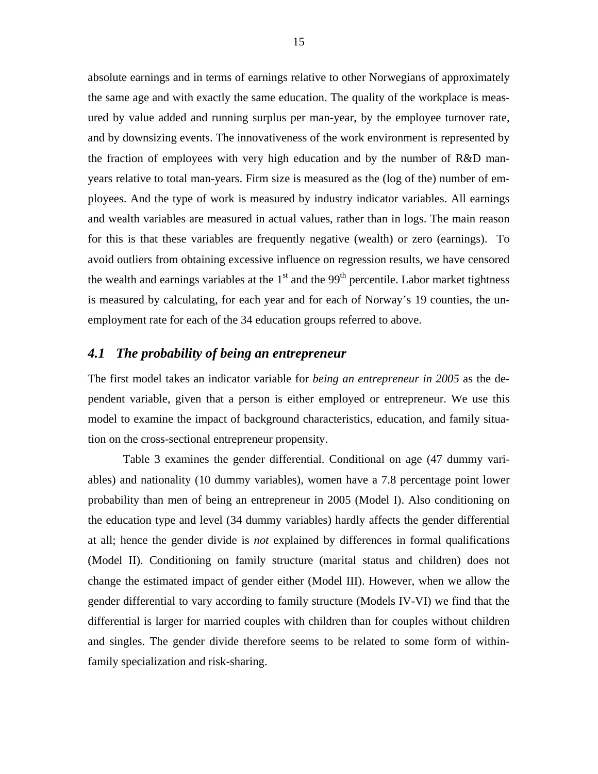absolute earnings and in terms of earnings relative to other Norwegians of approximately the same age and with exactly the same education. The quality of the workplace is measured by value added and running surplus per man-year, by the employee turnover rate, and by downsizing events. The innovativeness of the work environment is represented by the fraction of employees with very high education and by the number of R&D manyears relative to total man-years. Firm size is measured as the (log of the) number of employees. And the type of work is measured by industry indicator variables. All earnings and wealth variables are measured in actual values, rather than in logs. The main reason for this is that these variables are frequently negative (wealth) or zero (earnings). To avoid outliers from obtaining excessive influence on regression results, we have censored the wealth and earnings variables at the  $1<sup>st</sup>$  and the 99<sup>th</sup> percentile. Labor market tightness is measured by calculating, for each year and for each of Norway's 19 counties, the unemployment rate for each of the 34 education groups referred to above.

#### *4.1 The probability of being an entrepreneur*

The first model takes an indicator variable for *being an entrepreneur in 2005* as the dependent variable, given that a person is either employed or entrepreneur. We use this model to examine the impact of background characteristics, education, and family situation on the cross-sectional entrepreneur propensity.

Table 3 examines the gender differential. Conditional on age (47 dummy variables) and nationality (10 dummy variables), women have a 7.8 percentage point lower probability than men of being an entrepreneur in 2005 (Model I). Also conditioning on the education type and level (34 dummy variables) hardly affects the gender differential at all; hence the gender divide is *not* explained by differences in formal qualifications (Model II). Conditioning on family structure (marital status and children) does not change the estimated impact of gender either (Model III). However, when we allow the gender differential to vary according to family structure (Models IV-VI) we find that the differential is larger for married couples with children than for couples without children and singles. The gender divide therefore seems to be related to some form of withinfamily specialization and risk-sharing.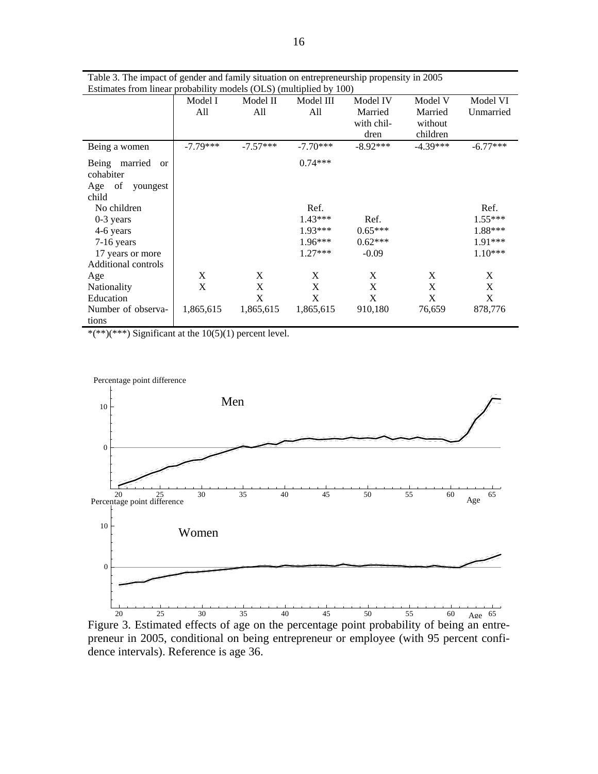|                                                | Model I    | Model II   | Model III  | Model IV   | Model V    | Model VI   |
|------------------------------------------------|------------|------------|------------|------------|------------|------------|
|                                                | All        | All        | All        | Married    | Married    | Unmarried  |
|                                                |            |            |            | with chil- | without    |            |
|                                                |            |            |            | dren       | children   |            |
| Being a women                                  | $-7.79***$ | $-7.57***$ | $-7.70***$ | $-8.92***$ | $-4.39***$ | $-6.77***$ |
| married<br>Being<br><sub>or</sub><br>cohabiter |            |            | $0.74***$  |            |            |            |
| Age of<br>youngest<br>child                    |            |            |            |            |            |            |
| No children                                    |            |            | Ref.       |            |            | Ref.       |
| $0-3$ years                                    |            |            | $1.43***$  | Ref.       |            | $1.55***$  |
| 4-6 years                                      |            |            | $1.93***$  | $0.65***$  |            | 1.88***    |
| $7-16$ years                                   |            |            | $1.96***$  | $0.62***$  |            | 1.91***    |
| 17 years or more                               |            |            | $1.27***$  | $-0.09$    |            | $1.10***$  |
| Additional controls                            |            |            |            |            |            |            |
| Age                                            | X          | X          | X          | X          | X          | X          |
| Nationality                                    | X          | X          | X          | X          | X          | X          |
| Education                                      |            | X          | X          | X          | X          | X          |
| Number of observa-                             | 1,865,615  | 1,865,615  | 1,865,615  | 910,180    | 76,659     | 878,776    |
| tions                                          |            |            |            |            |            |            |

Table 3. The impact of gender and family situation on entrepreneurship propensity in 2005 Estimates from linear probability models (OLS) (multiplied by 100)

\*(\*\*)(\*\*\*) Significant at the 10(5)(1) percent level.

![](_page_17_Figure_3.jpeg)

Figure 3. Estimated effects of age on the percentage point probability of being an entrepreneur in 2005, conditional on being entrepreneur or employee (with 95 percent confidence intervals). Reference is age 36.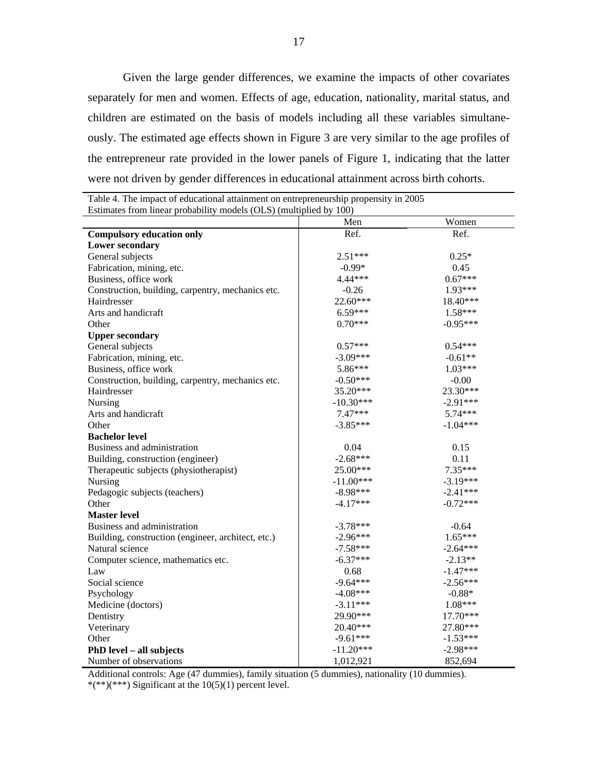Given the large gender differences, we examine the impacts of other covariates separately for men and women. Effects of age, education, nationality, marital status, and children are estimated on the basis of models including all these variables simultaneously. The estimated age effects shown in Figure 3 are very similar to the age profiles of the entrepreneur rate provided in the lower panels of Figure 1, indicating that the latter were not driven by gender differences in educational attainment across birth cohorts.

| Estimates from linear probability models (OLS) (multiplied by 100) |             |            |  |  |  |  |
|--------------------------------------------------------------------|-------------|------------|--|--|--|--|
|                                                                    | Men         | Women      |  |  |  |  |
| <b>Compulsory education only</b>                                   | Ref.        | Ref.       |  |  |  |  |
| <b>Lower secondary</b>                                             |             |            |  |  |  |  |
| General subjects                                                   | $2.51***$   | $0.25*$    |  |  |  |  |
| Fabrication, mining, etc.                                          | $-0.99*$    | 0.45       |  |  |  |  |
| Business, office work                                              | 4.44***     | $0.67***$  |  |  |  |  |
| Construction, building, carpentry, mechanics etc.                  | $-0.26$     | 1.93***    |  |  |  |  |
| Hairdresser                                                        | 22.60***    | 18.40***   |  |  |  |  |
| Arts and handicraft                                                | $6.59***$   | $1.58***$  |  |  |  |  |
| Other                                                              | $0.70***$   | $-0.95***$ |  |  |  |  |
| <b>Upper secondary</b>                                             |             |            |  |  |  |  |
| General subjects                                                   | $0.57***$   | $0.54***$  |  |  |  |  |
| Fabrication, mining, etc.                                          | $-3.09***$  | $-0.61**$  |  |  |  |  |
| Business, office work                                              | 5.86***     | $1.03***$  |  |  |  |  |
| Construction, building, carpentry, mechanics etc.                  | $-0.50***$  | $-0.00$    |  |  |  |  |
| Hairdresser                                                        | 35.20***    | 23.30***   |  |  |  |  |
| Nursing                                                            | $-10.30***$ | $-2.91***$ |  |  |  |  |
| Arts and handicraft                                                | $7.47***$   | $5.74***$  |  |  |  |  |
| Other                                                              | $-3.85***$  | $-1.04***$ |  |  |  |  |
| <b>Bachelor level</b>                                              |             |            |  |  |  |  |
| Business and administration                                        | 0.04        | 0.15       |  |  |  |  |
| Building, construction (engineer)                                  | $-2.68***$  | 0.11       |  |  |  |  |
| Therapeutic subjects (physiotherapist)                             | 25.00***    | 7.35***    |  |  |  |  |
| Nursing                                                            | $-11.00***$ | $-3.19***$ |  |  |  |  |
| Pedagogic subjects (teachers)                                      | $-8.98***$  | $-2.41***$ |  |  |  |  |
| Other                                                              | $-4.17***$  | $-0.72***$ |  |  |  |  |
| <b>Master level</b>                                                |             |            |  |  |  |  |
| Business and administration                                        | $-3.78***$  | $-0.64$    |  |  |  |  |
| Building, construction (engineer, architect, etc.)                 | $-2.96***$  | $1.65***$  |  |  |  |  |
| Natural science                                                    | $-7.58***$  | $-2.64***$ |  |  |  |  |
| Computer science, mathematics etc.                                 | $-6.37***$  | $-2.13**$  |  |  |  |  |
| Law                                                                | 0.68        | $-1.47***$ |  |  |  |  |
| Social science                                                     | $-9.64***$  | $-2.56***$ |  |  |  |  |
| Psychology                                                         | $-4.08***$  | $-0.88*$   |  |  |  |  |
| Medicine (doctors)                                                 | $-3.11***$  | 1.08***    |  |  |  |  |
| Dentistry                                                          | 29.90***    | 17.70***   |  |  |  |  |
| Veterinary                                                         | 20.40***    | 27.80***   |  |  |  |  |
| Other                                                              | $-9.61***$  | $-1.53***$ |  |  |  |  |
| PhD level - all subjects                                           | $-11.20***$ | $-2.98***$ |  |  |  |  |
| Number of observations                                             | 1,012,921   | 852,694    |  |  |  |  |

Table 4. The impact of educational attainment on entrepreneurship propensity in 2005 Estimates from linear probability models (OLS) (multiplied by 100)

Additional controls: Age (47 dummies), family situation (5 dummies), nationality (10 dummies). \*(\*\*)(\*\*\*) Significant at the  $10(5)(1)$  percent level.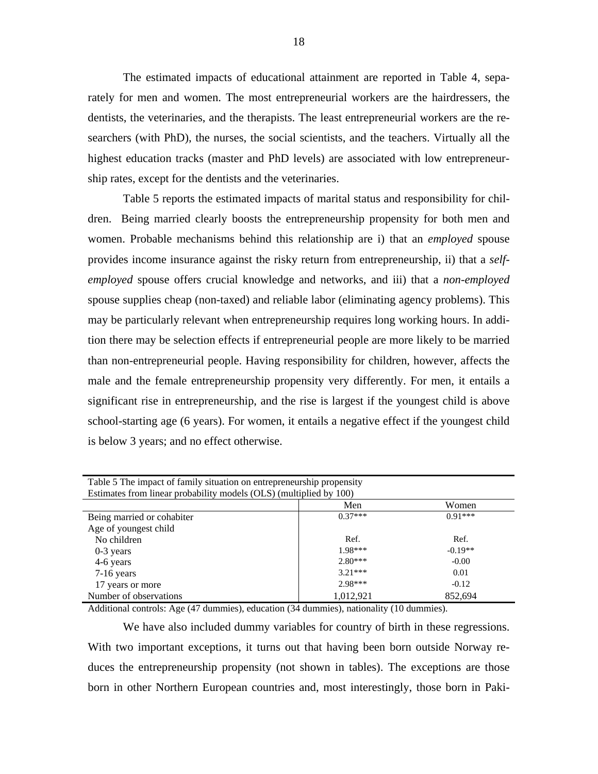The estimated impacts of educational attainment are reported in Table 4, separately for men and women. The most entrepreneurial workers are the hairdressers, the dentists, the veterinaries, and the therapists. The least entrepreneurial workers are the researchers (with PhD), the nurses, the social scientists, and the teachers. Virtually all the highest education tracks (master and PhD levels) are associated with low entrepreneurship rates, except for the dentists and the veterinaries.

Table 5 reports the estimated impacts of marital status and responsibility for children. Being married clearly boosts the entrepreneurship propensity for both men and women. Probable mechanisms behind this relationship are i) that an *employed* spouse provides income insurance against the risky return from entrepreneurship, ii) that a *selfemployed* spouse offers crucial knowledge and networks, and iii) that a *non-employed* spouse supplies cheap (non-taxed) and reliable labor (eliminating agency problems). This may be particularly relevant when entrepreneurship requires long working hours. In addition there may be selection effects if entrepreneurial people are more likely to be married than non-entrepreneurial people. Having responsibility for children, however, affects the male and the female entrepreneurship propensity very differently. For men, it entails a significant rise in entrepreneurship, and the rise is largest if the youngest child is above school-starting age (6 years). For women, it entails a negative effect if the youngest child is below 3 years; and no effect otherwise.

| Table 5 The impact of family situation on entrepreneurship propensity |           |           |  |  |  |  |  |
|-----------------------------------------------------------------------|-----------|-----------|--|--|--|--|--|
| Estimates from linear probability models (OLS) (multiplied by 100)    |           |           |  |  |  |  |  |
|                                                                       | Men       | Women     |  |  |  |  |  |
| Being married or cohabiter                                            | $0.37***$ | $0.91***$ |  |  |  |  |  |
| Age of youngest child                                                 |           |           |  |  |  |  |  |
| No children                                                           | Ref.      | Ref.      |  |  |  |  |  |
| $0-3$ years                                                           | $1.98***$ | $-0.19**$ |  |  |  |  |  |
| 4-6 years                                                             | $2.80***$ | $-0.00$   |  |  |  |  |  |
| $7-16$ years                                                          | $3.21***$ | 0.01      |  |  |  |  |  |
| 17 years or more                                                      | $2.98***$ | $-0.12$   |  |  |  |  |  |
| Number of observations                                                | 1,012,921 | 852,694   |  |  |  |  |  |

Additional controls: Age (47 dummies), education (34 dummies), nationality (10 dummies).

We have also included dummy variables for country of birth in these regressions. With two important exceptions, it turns out that having been born outside Norway reduces the entrepreneurship propensity (not shown in tables). The exceptions are those born in other Northern European countries and, most interestingly, those born in Paki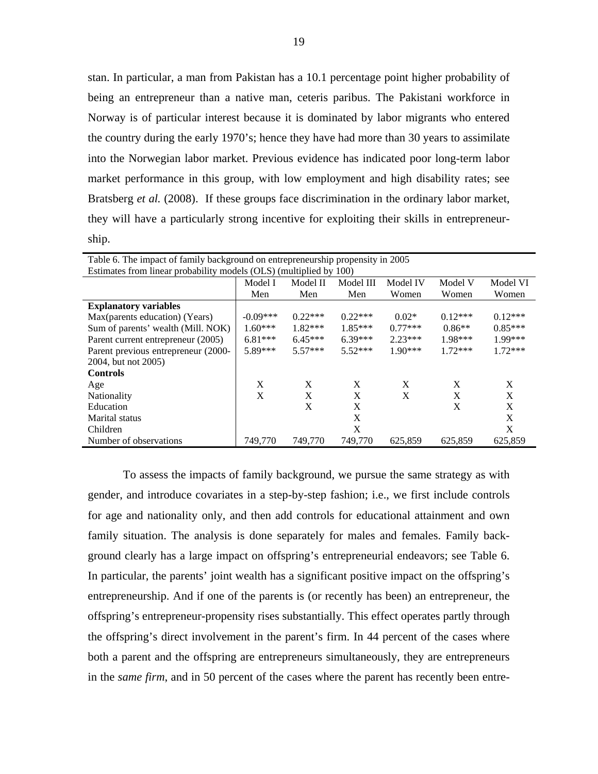stan. In particular, a man from Pakistan has a 10.1 percentage point higher probability of being an entrepreneur than a native man, ceteris paribus. The Pakistani workforce in Norway is of particular interest because it is dominated by labor migrants who entered the country during the early 1970's; hence they have had more than 30 years to assimilate into the Norwegian labor market. Previous evidence has indicated poor long-term labor market performance in this group, with low employment and high disability rates; see Bratsberg *et al.* (2008). If these groups face discrimination in the ordinary labor market, they will have a particularly strong incentive for exploiting their skills in entrepreneurship.

| Table 6. The impact of family background on entrepreneurship propensity in 2005 |              |           |           |           |              |           |  |
|---------------------------------------------------------------------------------|--------------|-----------|-----------|-----------|--------------|-----------|--|
| Estimates from linear probability models (OLS) (multiplied by 100)              |              |           |           |           |              |           |  |
|                                                                                 | Model I      | Model II  | Model III | Model IV  | Model V      | Model VI  |  |
|                                                                                 | Men          | Men       | Men       | Women     | Women        | Women     |  |
| <b>Explanatory variables</b>                                                    |              |           |           |           |              |           |  |
| Max(parents education) (Years)                                                  | $-0.09***$   | $0.22***$ | $0.22***$ | $0.02*$   | $0.12***$    | $0.12***$ |  |
| Sum of parents' wealth (Mill. NOK)                                              | $1.60***$    | $1.82***$ | $1.85***$ | $0.77***$ | $0.86**$     | $0.85***$ |  |
| Parent current entrepreneur (2005)                                              | $6.81***$    | $6.45***$ | $6.39***$ | $2.23***$ | $1.98***$    | 1.99***   |  |
| Parent previous entrepreneur (2000-                                             | 5.89***      | $5.57***$ | $5.52***$ | $1.90***$ | $1.72***$    | $1.72***$ |  |
| 2004, but not 2005)                                                             |              |           |           |           |              |           |  |
| <b>Controls</b>                                                                 |              |           |           |           |              |           |  |
| Age                                                                             | X            | X         | X         | X         | X            | X         |  |
| <b>Nationality</b>                                                              | $\mathbf{X}$ | X         | X         | X         | $\mathbf{x}$ | X         |  |
| Education                                                                       |              | X         | X         |           | X            | X         |  |
| Marital status                                                                  |              |           | X         |           |              | X         |  |
| Children                                                                        |              |           | X         |           |              | X         |  |
| Number of observations                                                          | 749,770      | 749,770   | 749,770   | 625,859   | 625,859      | 625,859   |  |

To assess the impacts of family background, we pursue the same strategy as with gender, and introduce covariates in a step-by-step fashion; i.e., we first include controls for age and nationality only, and then add controls for educational attainment and own family situation. The analysis is done separately for males and females. Family background clearly has a large impact on offspring's entrepreneurial endeavors; see Table 6. In particular, the parents' joint wealth has a significant positive impact on the offspring's entrepreneurship. And if one of the parents is (or recently has been) an entrepreneur, the offspring's entrepreneur-propensity rises substantially. This effect operates partly through the offspring's direct involvement in the parent's firm. In 44 percent of the cases where both a parent and the offspring are entrepreneurs simultaneously, they are entrepreneurs in the *same firm*, and in 50 percent of the cases where the parent has recently been entre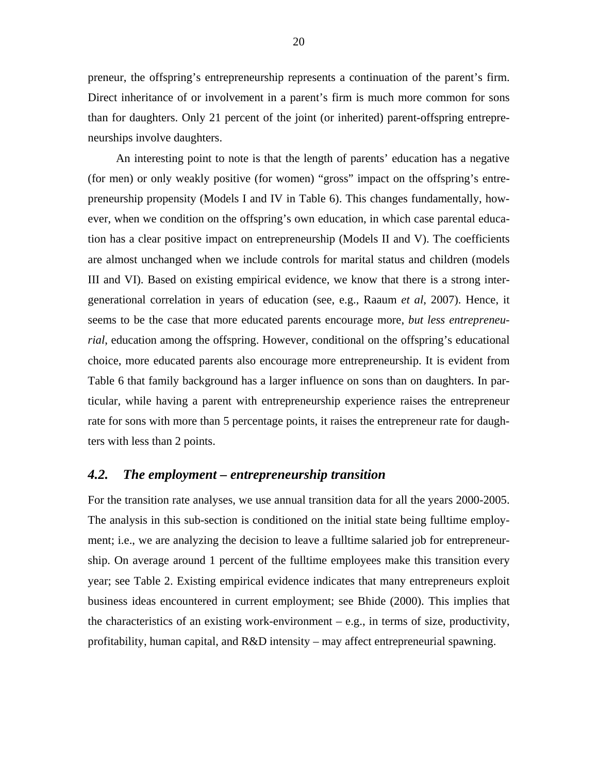preneur, the offspring's entrepreneurship represents a continuation of the parent's firm. Direct inheritance of or involvement in a parent's firm is much more common for sons than for daughters. Only 21 percent of the joint (or inherited) parent-offspring entrepreneurships involve daughters.

An interesting point to note is that the length of parents' education has a negative (for men) or only weakly positive (for women) "gross" impact on the offspring's entrepreneurship propensity (Models I and IV in Table 6). This changes fundamentally, however, when we condition on the offspring's own education, in which case parental education has a clear positive impact on entrepreneurship (Models II and V). The coefficients are almost unchanged when we include controls for marital status and children (models III and VI). Based on existing empirical evidence, we know that there is a strong intergenerational correlation in years of education (see, e.g., Raaum *et al*, 2007). Hence, it seems to be the case that more educated parents encourage more, *but less entrepreneurial*, education among the offspring. However, conditional on the offspring's educational choice, more educated parents also encourage more entrepreneurship. It is evident from Table 6 that family background has a larger influence on sons than on daughters. In particular, while having a parent with entrepreneurship experience raises the entrepreneur rate for sons with more than 5 percentage points, it raises the entrepreneur rate for daughters with less than 2 points.

#### *4.2. The employment – entrepreneurship transition*

For the transition rate analyses, we use annual transition data for all the years 2000-2005. The analysis in this sub-section is conditioned on the initial state being fulltime employment; i.e., we are analyzing the decision to leave a fulltime salaried job for entrepreneurship. On average around 1 percent of the fulltime employees make this transition every year; see Table 2. Existing empirical evidence indicates that many entrepreneurs exploit business ideas encountered in current employment; see Bhide (2000). This implies that the characteristics of an existing work-environment – e.g., in terms of size, productivity, profitability, human capital, and R&D intensity – may affect entrepreneurial spawning.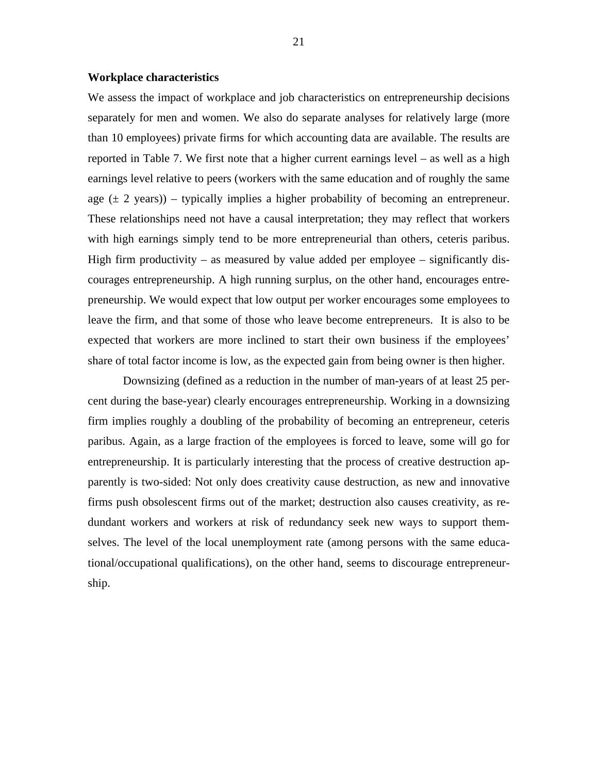#### **Workplace characteristics**

We assess the impact of workplace and job characteristics on entrepreneurship decisions separately for men and women. We also do separate analyses for relatively large (more than 10 employees) private firms for which accounting data are available. The results are reported in Table 7. We first note that a higher current earnings level – as well as a high earnings level relative to peers (workers with the same education and of roughly the same age  $(\pm 2 \text{ years})$  – typically implies a higher probability of becoming an entrepreneur. These relationships need not have a causal interpretation; they may reflect that workers with high earnings simply tend to be more entrepreneurial than others, ceteris paribus. High firm productivity – as measured by value added per employee – significantly discourages entrepreneurship. A high running surplus, on the other hand, encourages entrepreneurship. We would expect that low output per worker encourages some employees to leave the firm, and that some of those who leave become entrepreneurs. It is also to be expected that workers are more inclined to start their own business if the employees' share of total factor income is low, as the expected gain from being owner is then higher.

Downsizing (defined as a reduction in the number of man-years of at least 25 percent during the base-year) clearly encourages entrepreneurship. Working in a downsizing firm implies roughly a doubling of the probability of becoming an entrepreneur, ceteris paribus. Again, as a large fraction of the employees is forced to leave, some will go for entrepreneurship. It is particularly interesting that the process of creative destruction apparently is two-sided: Not only does creativity cause destruction, as new and innovative firms push obsolescent firms out of the market; destruction also causes creativity, as redundant workers and workers at risk of redundancy seek new ways to support themselves. The level of the local unemployment rate (among persons with the same educational/occupational qualifications), on the other hand, seems to discourage entrepreneurship.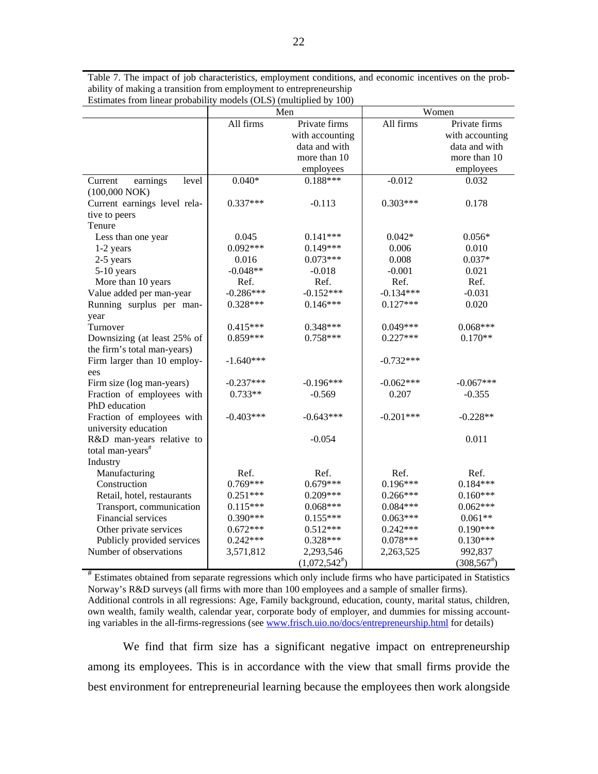Table 7. The impact of job characteristics, employment conditions, and economic incentives on the probability of making a transition from employment to entrepreneurship Estimates from linear probability models (OLS) (multiplied by 100)

|                              | Men         |                    |             | Women           |
|------------------------------|-------------|--------------------|-------------|-----------------|
|                              | All firms   | Private firms      | All firms   | Private firms   |
|                              |             | with accounting    |             | with accounting |
|                              |             | data and with      |             | data and with   |
|                              |             | more than 10       |             | more than 10    |
|                              |             | employees          |             | employees       |
| level<br>Current<br>earnings | $0.040*$    | $0.188***$         | $-0.012$    | 0.032           |
| $(100,000\text{ NOK})$       |             |                    |             |                 |
| Current earnings level rela- | $0.337***$  | $-0.113$           | $0.303***$  | 0.178           |
| tive to peers                |             |                    |             |                 |
| Tenure                       |             |                    |             |                 |
| Less than one year           | 0.045       | $0.141***$         | $0.042*$    | $0.056*$        |
| 1-2 years                    | $0.092***$  | $0.149***$         | 0.006       | 0.010           |
| 2-5 years                    | 0.016       | $0.073***$         | 0.008       | $0.037*$        |
| 5-10 years                   | $-0.048**$  | $-0.018$           | $-0.001$    | 0.021           |
| More than 10 years           | Ref.        | Ref.               | Ref.        | Ref.            |
| Value added per man-year     | $-0.286***$ | $-0.152***$        | $-0.134***$ | $-0.031$        |
| Running surplus per man-     | $0.328***$  | $0.146***$         | $0.127***$  | 0.020           |
| year                         |             |                    |             |                 |
| Turnover                     | $0.415***$  | 0.348***           | $0.049***$  | $0.068***$      |
| Downsizing (at least 25% of  | $0.859***$  | $0.758***$         | $0.227***$  | $0.170**$       |
| the firm's total man-years)  |             |                    |             |                 |
| Firm larger than 10 employ-  | $-1.640***$ |                    | $-0.732***$ |                 |
| ees                          |             |                    |             |                 |
| Firm size (log man-years)    | $-0.237***$ | $-0.196***$        | $-0.062***$ | $-0.067***$     |
| Fraction of employees with   | $0.733**$   | $-0.569$           | 0.207       | $-0.355$        |
| PhD education                |             |                    |             |                 |
| Fraction of employees with   | $-0.403***$ | $-0.643***$        | $-0.201***$ | $-0.228**$      |
| university education         |             |                    |             |                 |
| R&D man-years relative to    |             | $-0.054$           |             | 0.011           |
| total man-years <sup>#</sup> |             |                    |             |                 |
| Industry                     |             |                    |             |                 |
| Manufacturing                | Ref.        | Ref.               | Ref.        | Ref.            |
| Construction                 | $0.769***$  | $0.679***$         | $0.196***$  | $0.184***$      |
| Retail, hotel, restaurants   | $0.251***$  | $0.209***$         | $0.266***$  | $0.160***$      |
| Transport, communication     | $0.115***$  | $0.068***$         | $0.084***$  | $0.062***$      |
| Financial services           | $0.390***$  | $0.155***$         | $0.063***$  | $0.061**$       |
| Other private services       | $0.672***$  | $0.512***$         | $0.242***$  | $0.190***$      |
| Publicly provided services   | $0.242***$  | $0.328***$         | $0.078***$  | $0.130***$      |
| Number of observations       | 3,571,812   | 2,293,546          | 2,263,525   | 992,837         |
|                              |             | $(1,072,542^{\#})$ |             | $(308, 567^*)$  |

# Estimates obtained from separate regressions which only include firms who have participated in Statistics Norway's R&D surveys (all firms with more than 100 employees and a sample of smaller firms). Additional controls in all regressions: Age, Family background, education, county, marital status, children, own wealth, family wealth, calendar year, corporate body of employer, and dummies for missing accounting variables in the all-firms-regressions (see www.frisch.uio.no/docs/entrepreneurship.html for details)

We find that firm size has a significant negative impact on entrepreneurship among its employees. This is in accordance with the view that small firms provide the best environment for entrepreneurial learning because the employees then work alongside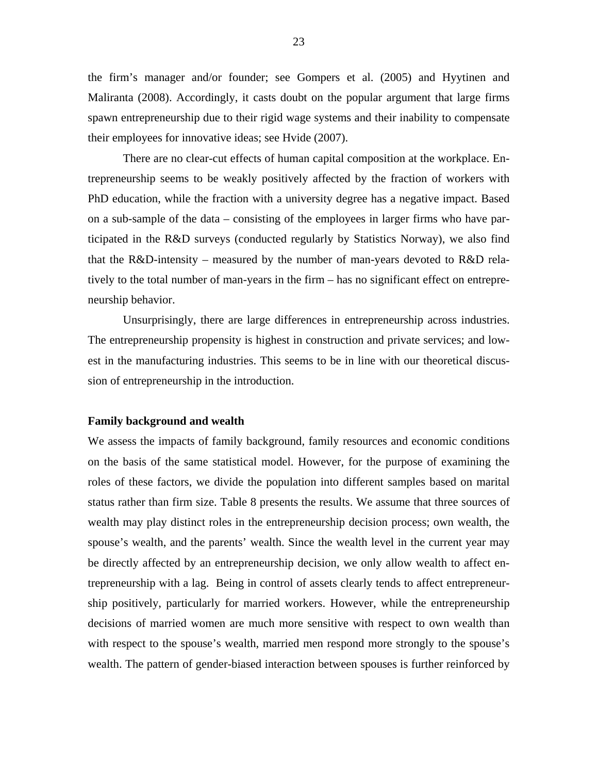the firm's manager and/or founder; see Gompers et al. (2005) and Hyytinen and Maliranta (2008). Accordingly, it casts doubt on the popular argument that large firms spawn entrepreneurship due to their rigid wage systems and their inability to compensate their employees for innovative ideas; see Hvide (2007).

 There are no clear-cut effects of human capital composition at the workplace. Entrepreneurship seems to be weakly positively affected by the fraction of workers with PhD education, while the fraction with a university degree has a negative impact. Based on a sub-sample of the data – consisting of the employees in larger firms who have participated in the R&D surveys (conducted regularly by Statistics Norway), we also find that the R&D-intensity – measured by the number of man-years devoted to R&D relatively to the total number of man-years in the firm – has no significant effect on entrepreneurship behavior.

 Unsurprisingly, there are large differences in entrepreneurship across industries. The entrepreneurship propensity is highest in construction and private services; and lowest in the manufacturing industries. This seems to be in line with our theoretical discussion of entrepreneurship in the introduction.

#### **Family background and wealth**

We assess the impacts of family background, family resources and economic conditions on the basis of the same statistical model. However, for the purpose of examining the roles of these factors, we divide the population into different samples based on marital status rather than firm size. Table 8 presents the results. We assume that three sources of wealth may play distinct roles in the entrepreneurship decision process; own wealth, the spouse's wealth, and the parents' wealth. Since the wealth level in the current year may be directly affected by an entrepreneurship decision, we only allow wealth to affect entrepreneurship with a lag. Being in control of assets clearly tends to affect entrepreneurship positively, particularly for married workers. However, while the entrepreneurship decisions of married women are much more sensitive with respect to own wealth than with respect to the spouse's wealth, married men respond more strongly to the spouse's wealth. The pattern of gender-biased interaction between spouses is further reinforced by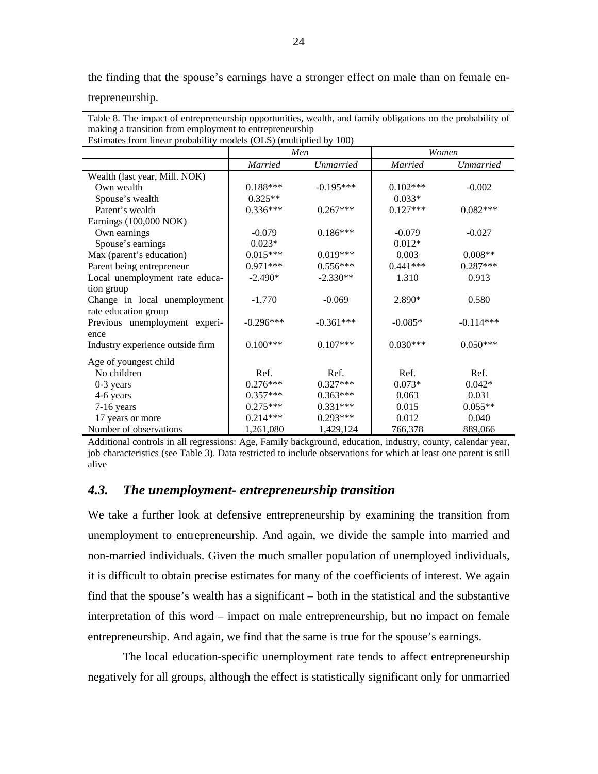the finding that the spouse's earnings have a stronger effect on male than on female en-

trepreneurship.

| maxing a transition from employment to entreprenettismp<br>Estimates from linear probability models (OLS) (multiplied by 100) |                |                  |                |                  |  |  |
|-------------------------------------------------------------------------------------------------------------------------------|----------------|------------------|----------------|------------------|--|--|
|                                                                                                                               | Men            |                  |                | Women            |  |  |
|                                                                                                                               | <i>Married</i> | <i>Unmarried</i> | <i>Married</i> | <i>Unmarried</i> |  |  |
| Wealth (last year, Mill. NOK)                                                                                                 |                |                  |                |                  |  |  |
| Own wealth                                                                                                                    | $0.188***$     | $-0.195***$      | $0.102***$     | $-0.002$         |  |  |
| Spouse's wealth                                                                                                               | $0.325**$      |                  | $0.033*$       |                  |  |  |
| Parent's wealth                                                                                                               | $0.336***$     | $0.267***$       | $0.127***$     | $0.082***$       |  |  |
| Earnings (100,000 NOK)                                                                                                        |                |                  |                |                  |  |  |
| Own earnings                                                                                                                  | $-0.079$       | $0.186***$       | $-0.079$       | $-0.027$         |  |  |
| Spouse's earnings                                                                                                             | $0.023*$       |                  | $0.012*$       |                  |  |  |
| Max (parent's education)                                                                                                      | $0.015***$     | $0.019***$       | 0.003          | $0.008**$        |  |  |
| Parent being entrepreneur                                                                                                     | $0.971***$     | $0.556***$       | $0.441***$     | $0.287***$       |  |  |
| Local unemployment rate educa-                                                                                                | $-2.490*$      | $-2.330**$       | 1.310          | 0.913            |  |  |
| tion group                                                                                                                    |                |                  |                |                  |  |  |
| Change in local unemployment                                                                                                  | $-1.770$       | $-0.069$         | 2.890*         | 0.580            |  |  |
| rate education group                                                                                                          |                |                  |                |                  |  |  |
| Previous unemployment experi-                                                                                                 | $-0.296***$    | $-0.361***$      | $-0.085*$      | $-0.114***$      |  |  |
| ence                                                                                                                          |                |                  |                |                  |  |  |
| Industry experience outside firm                                                                                              | $0.100***$     | $0.107***$       | $0.030***$     | $0.050***$       |  |  |
| Age of youngest child                                                                                                         |                |                  |                |                  |  |  |
| No children                                                                                                                   | Ref.           | Ref.             | Ref.           | Ref.             |  |  |
| $0-3$ years                                                                                                                   | $0.276***$     | $0.327***$       | $0.073*$       | $0.042*$         |  |  |
| 4-6 years                                                                                                                     | $0.357***$     | $0.363***$       | 0.063          | 0.031            |  |  |
| $7-16$ years                                                                                                                  | $0.275***$     | $0.331***$       | 0.015          | $0.055**$        |  |  |
| 17 years or more                                                                                                              | $0.214***$     | $0.293***$       | 0.012          | 0.040            |  |  |
| Number of observations                                                                                                        | 1,261,080      | 1,429,124        | 766,378        | 889,066          |  |  |

Table 8. The impact of entrepreneurship opportunities, wealth, and family obligations on the probability of making a transition from employment to entrepreneurship

Additional controls in all regressions: Age, Family background, education, industry, county, calendar year, job characteristics (see Table 3). Data restricted to include observations for which at least one parent is still alive

#### *4.3. The unemployment- entrepreneurship transition*

We take a further look at defensive entrepreneurship by examining the transition from unemployment to entrepreneurship. And again, we divide the sample into married and non-married individuals. Given the much smaller population of unemployed individuals, it is difficult to obtain precise estimates for many of the coefficients of interest. We again find that the spouse's wealth has a significant – both in the statistical and the substantive interpretation of this word – impact on male entrepreneurship, but no impact on female entrepreneurship. And again, we find that the same is true for the spouse's earnings.

 The local education-specific unemployment rate tends to affect entrepreneurship negatively for all groups, although the effect is statistically significant only for unmarried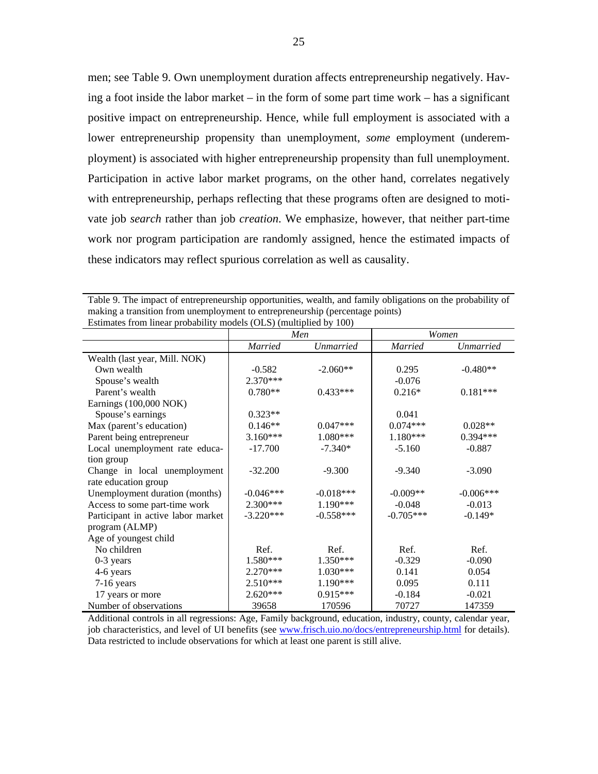men; see Table 9. Own unemployment duration affects entrepreneurship negatively. Having a foot inside the labor market – in the form of some part time work – has a significant positive impact on entrepreneurship. Hence, while full employment is associated with a lower entrepreneurship propensity than unemployment, *some* employment (underemployment) is associated with higher entrepreneurship propensity than full unemployment. Participation in active labor market programs, on the other hand, correlates negatively with entrepreneurship, perhaps reflecting that these programs often are designed to motivate job *search* rather than job *creation*. We emphasize, however, that neither part-time work nor program participation are randomly assigned, hence the estimated impacts of these indicators may reflect spurious correlation as well as causality.

| Table 9. The impact of entrepreneurship opportunities, wealth, and family obligations on the probability of |
|-------------------------------------------------------------------------------------------------------------|
| making a transition from unemployment to entrepreneurship (percentage points)                               |
| Estimates from linear probability models (OLS) (multiplied by 100)                                          |

| <b>EStimates Hom mical probability models (OES)</b> (mumplied by TOO) |                | Men              |                | Women       |  |  |
|-----------------------------------------------------------------------|----------------|------------------|----------------|-------------|--|--|
|                                                                       |                |                  |                |             |  |  |
|                                                                       | <b>Married</b> | <b>Unmarried</b> | <b>Married</b> | Unmarried   |  |  |
| Wealth (last year, Mill. NOK)                                         |                |                  |                |             |  |  |
| Own wealth                                                            | $-0.582$       | $-2.060**$       | 0.295          | $-0.480**$  |  |  |
| Spouse's wealth                                                       | $2.370***$     |                  | $-0.076$       |             |  |  |
| Parent's wealth                                                       | $0.780**$      | $0.433***$       | $0.216*$       | $0.181***$  |  |  |
| Earnings (100,000 NOK)                                                |                |                  |                |             |  |  |
| Spouse's earnings                                                     | $0.323**$      |                  | 0.041          |             |  |  |
| Max (parent's education)                                              | $0.146**$      | $0.047***$       | $0.074***$     | $0.028**$   |  |  |
| Parent being entrepreneur                                             | $3.160***$     | $1.080***$       | $1.180***$     | $0.394***$  |  |  |
| Local unemployment rate educa-                                        | $-17.700$      | $-7.340*$        | $-5.160$       | $-0.887$    |  |  |
| tion group                                                            |                |                  |                |             |  |  |
| Change in local unemployment                                          | $-32.200$      | $-9.300$         | $-9.340$       | $-3.090$    |  |  |
| rate education group                                                  |                |                  |                |             |  |  |
| Unemployment duration (months)                                        | $-0.046***$    | $-0.018***$      | $-0.009**$     | $-0.006***$ |  |  |
| Access to some part-time work                                         | $2.300***$     | $1.190***$       | $-0.048$       | $-0.013$    |  |  |
| Participant in active labor market                                    | $-3.220***$    | $-0.558***$      | $-0.705***$    | $-0.149*$   |  |  |
| program (ALMP)                                                        |                |                  |                |             |  |  |
| Age of youngest child                                                 |                |                  |                |             |  |  |
| No children                                                           | Ref.           | Ref.             | Ref.           | Ref.        |  |  |
| $0-3$ years                                                           | 1.580***       | 1.350***         | $-0.329$       | $-0.090$    |  |  |
| 4-6 years                                                             | $2.270***$     | 1.030***         | 0.141          | 0.054       |  |  |
| 7-16 years                                                            | $2.510***$     | 1.190***         | 0.095          | 0.111       |  |  |
| 17 years or more                                                      | $2.620***$     | $0.915***$       | $-0.184$       | $-0.021$    |  |  |
| Number of observations                                                | 39658          | 170596           | 70727          | 147359      |  |  |

Additional controls in all regressions: Age, Family background, education, industry, county, calendar year, job characteristics, and level of UI benefits (see www.frisch.uio.no/docs/entrepreneurship.html for details). Data restricted to include observations for which at least one parent is still alive.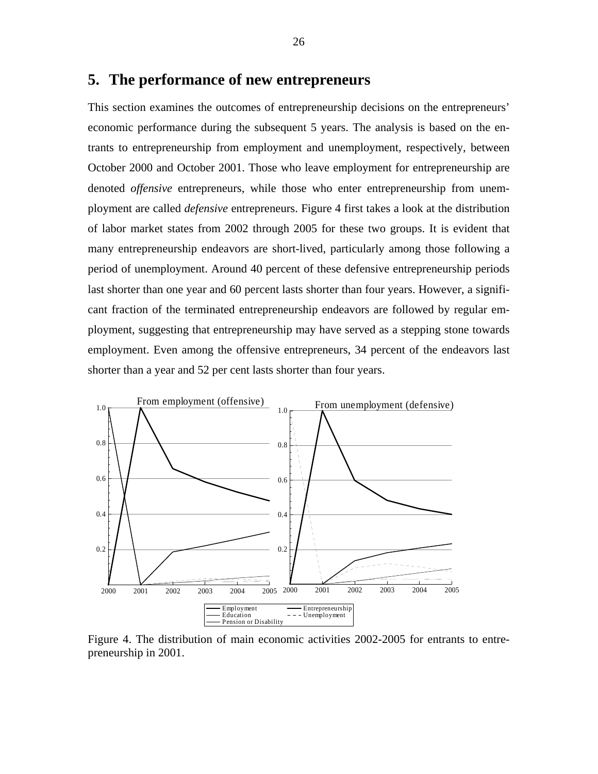#### **5. The performance of new entrepreneurs**

This section examines the outcomes of entrepreneurship decisions on the entrepreneurs' economic performance during the subsequent 5 years. The analysis is based on the entrants to entrepreneurship from employment and unemployment, respectively, between October 2000 and October 2001. Those who leave employment for entrepreneurship are denoted *offensive* entrepreneurs, while those who enter entrepreneurship from unemployment are called *defensive* entrepreneurs. Figure 4 first takes a look at the distribution of labor market states from 2002 through 2005 for these two groups. It is evident that many entrepreneurship endeavors are short-lived, particularly among those following a period of unemployment. Around 40 percent of these defensive entrepreneurship periods last shorter than one year and 60 percent lasts shorter than four years. However, a significant fraction of the terminated entrepreneurship endeavors are followed by regular employment, suggesting that entrepreneurship may have served as a stepping stone towards employment. Even among the offensive entrepreneurs, 34 percent of the endeavors last shorter than a year and 52 per cent lasts shorter than four years.

![](_page_27_Figure_2.jpeg)

Figure 4. The distribution of main economic activities 2002-2005 for entrants to entrepreneurship in 2001.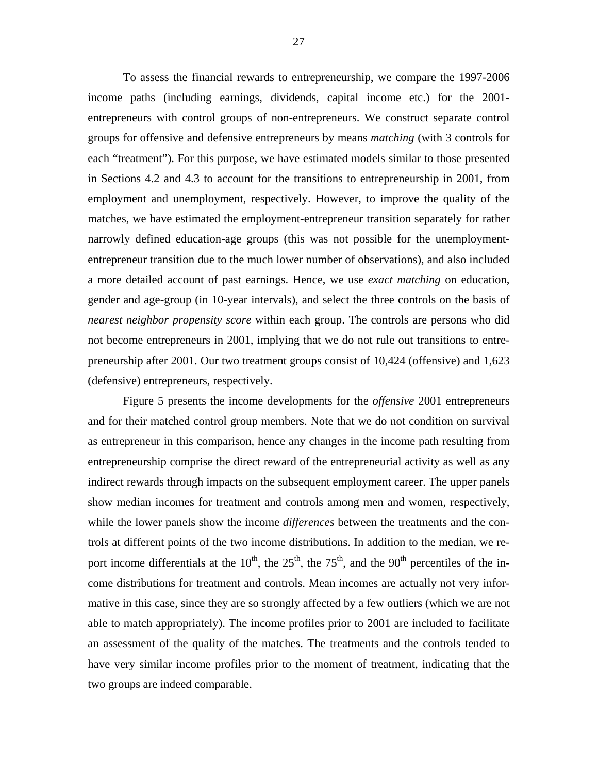To assess the financial rewards to entrepreneurship, we compare the 1997-2006 income paths (including earnings, dividends, capital income etc.) for the 2001 entrepreneurs with control groups of non-entrepreneurs. We construct separate control groups for offensive and defensive entrepreneurs by means *matching* (with 3 controls for each "treatment"). For this purpose, we have estimated models similar to those presented in Sections 4.2 and 4.3 to account for the transitions to entrepreneurship in 2001, from employment and unemployment, respectively. However, to improve the quality of the matches, we have estimated the employment-entrepreneur transition separately for rather narrowly defined education-age groups (this was not possible for the unemploymententrepreneur transition due to the much lower number of observations), and also included a more detailed account of past earnings. Hence, we use *exact matching* on education, gender and age-group (in 10-year intervals), and select the three controls on the basis of *nearest neighbor propensity score* within each group. The controls are persons who did not become entrepreneurs in 2001, implying that we do not rule out transitions to entrepreneurship after 2001. Our two treatment groups consist of 10,424 (offensive) and 1,623 (defensive) entrepreneurs, respectively.

 Figure 5 presents the income developments for the *offensive* 2001 entrepreneurs and for their matched control group members. Note that we do not condition on survival as entrepreneur in this comparison, hence any changes in the income path resulting from entrepreneurship comprise the direct reward of the entrepreneurial activity as well as any indirect rewards through impacts on the subsequent employment career. The upper panels show median incomes for treatment and controls among men and women, respectively, while the lower panels show the income *differences* between the treatments and the controls at different points of the two income distributions. In addition to the median, we report income differentials at the  $10^{th}$ , the  $25^{th}$ , the  $75^{th}$ , and the  $90^{th}$  percentiles of the income distributions for treatment and controls. Mean incomes are actually not very informative in this case, since they are so strongly affected by a few outliers (which we are not able to match appropriately). The income profiles prior to 2001 are included to facilitate an assessment of the quality of the matches. The treatments and the controls tended to have very similar income profiles prior to the moment of treatment, indicating that the two groups are indeed comparable.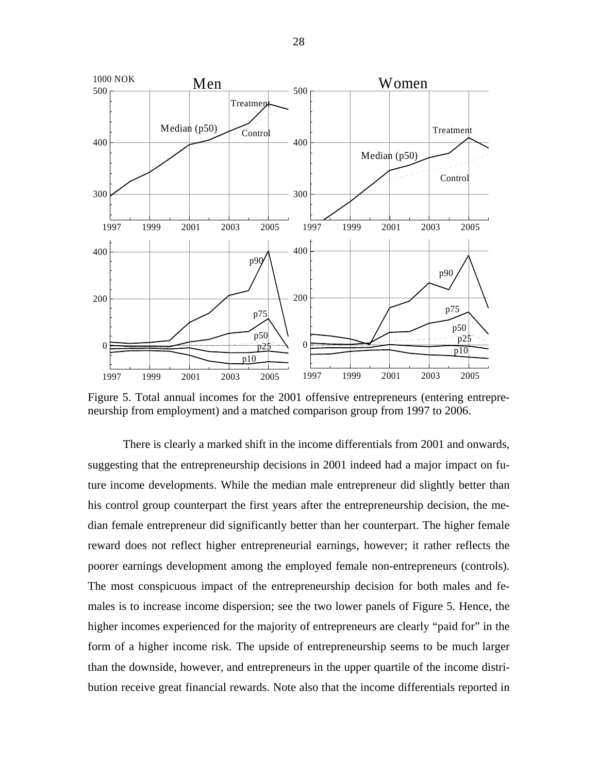![](_page_29_Figure_0.jpeg)

Figure 5. Total annual incomes for the 2001 offensive entrepreneurs (entering entrepreneurship from employment) and a matched comparison group from 1997 to 2006.

There is clearly a marked shift in the income differentials from 2001 and onwards, suggesting that the entrepreneurship decisions in 2001 indeed had a major impact on future income developments. While the median male entrepreneur did slightly better than his control group counterpart the first years after the entrepreneurship decision, the median female entrepreneur did significantly better than her counterpart. The higher female reward does not reflect higher entrepreneurial earnings, however; it rather reflects the poorer earnings development among the employed female non-entrepreneurs (controls). The most conspicuous impact of the entrepreneurship decision for both males and females is to increase income dispersion; see the two lower panels of Figure 5. Hence, the higher incomes experienced for the majority of entrepreneurs are clearly "paid for" in the form of a higher income risk. The upside of entrepreneurship seems to be much larger than the downside, however, and entrepreneurs in the upper quartile of the income distribution receive great financial rewards. Note also that the income differentials reported in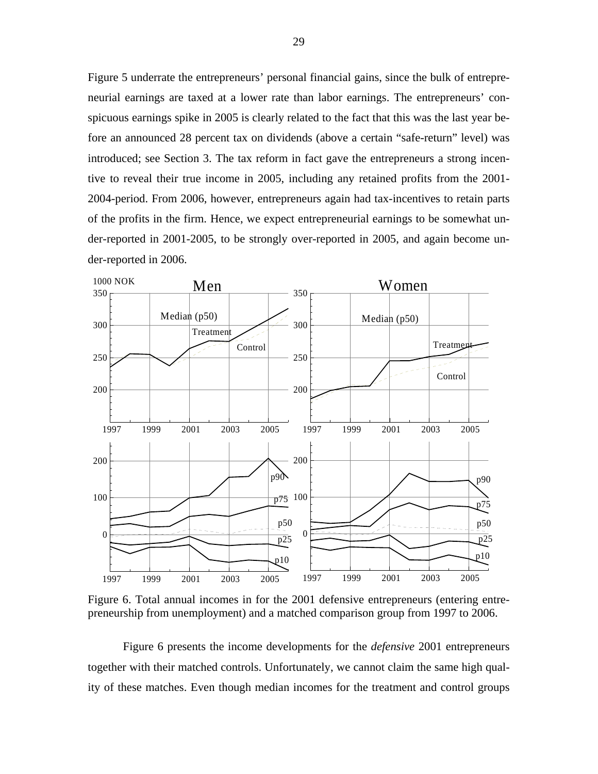Figure 5 underrate the entrepreneurs' personal financial gains, since the bulk of entrepreneurial earnings are taxed at a lower rate than labor earnings. The entrepreneurs' conspicuous earnings spike in 2005 is clearly related to the fact that this was the last year before an announced 28 percent tax on dividends (above a certain "safe-return" level) was introduced; see Section 3. The tax reform in fact gave the entrepreneurs a strong incentive to reveal their true income in 2005, including any retained profits from the 2001- 2004-period. From 2006, however, entrepreneurs again had tax-incentives to retain parts of the profits in the firm. Hence, we expect entrepreneurial earnings to be somewhat under-reported in 2001-2005, to be strongly over-reported in 2005, and again become under-reported in 2006.

![](_page_30_Figure_1.jpeg)

Figure 6. Total annual incomes in for the 2001 defensive entrepreneurs (entering entrepreneurship from unemployment) and a matched comparison group from 1997 to 2006.

Figure 6 presents the income developments for the *defensive* 2001 entrepreneurs together with their matched controls. Unfortunately, we cannot claim the same high quality of these matches. Even though median incomes for the treatment and control groups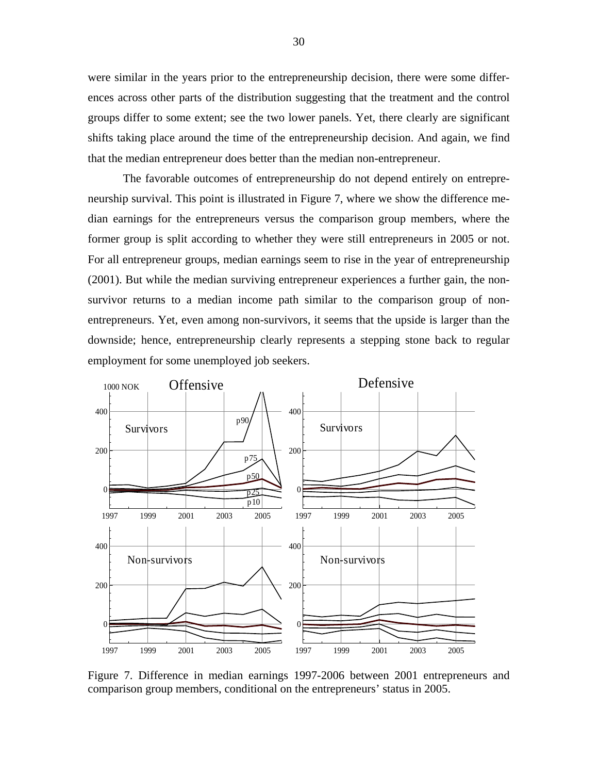were similar in the years prior to the entrepreneurship decision, there were some differences across other parts of the distribution suggesting that the treatment and the control groups differ to some extent; see the two lower panels. Yet, there clearly are significant shifts taking place around the time of the entrepreneurship decision. And again, we find that the median entrepreneur does better than the median non-entrepreneur.

The favorable outcomes of entrepreneurship do not depend entirely on entrepreneurship survival. This point is illustrated in Figure 7, where we show the difference median earnings for the entrepreneurs versus the comparison group members, where the former group is split according to whether they were still entrepreneurs in 2005 or not. For all entrepreneur groups, median earnings seem to rise in the year of entrepreneurship (2001). But while the median surviving entrepreneur experiences a further gain, the nonsurvivor returns to a median income path similar to the comparison group of nonentrepreneurs. Yet, even among non-survivors, it seems that the upside is larger than the downside; hence, entrepreneurship clearly represents a stepping stone back to regular employment for some unemployed job seekers.

![](_page_31_Figure_2.jpeg)

Figure 7. Difference in median earnings 1997-2006 between 2001 entrepreneurs and comparison group members, conditional on the entrepreneurs' status in 2005.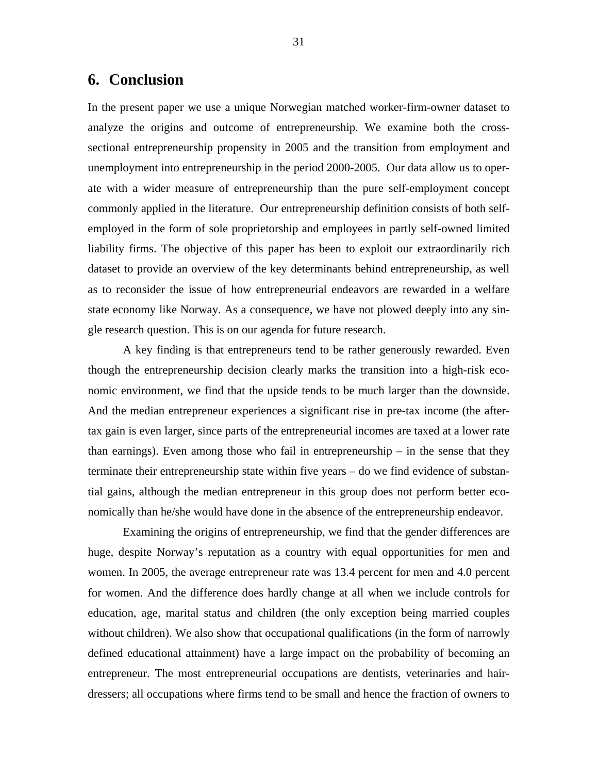### **6. Conclusion**

In the present paper we use a unique Norwegian matched worker-firm-owner dataset to analyze the origins and outcome of entrepreneurship. We examine both the crosssectional entrepreneurship propensity in 2005 and the transition from employment and unemployment into entrepreneurship in the period 2000-2005. Our data allow us to operate with a wider measure of entrepreneurship than the pure self-employment concept commonly applied in the literature. Our entrepreneurship definition consists of both selfemployed in the form of sole proprietorship and employees in partly self-owned limited liability firms. The objective of this paper has been to exploit our extraordinarily rich dataset to provide an overview of the key determinants behind entrepreneurship, as well as to reconsider the issue of how entrepreneurial endeavors are rewarded in a welfare state economy like Norway. As a consequence, we have not plowed deeply into any single research question. This is on our agenda for future research.

A key finding is that entrepreneurs tend to be rather generously rewarded. Even though the entrepreneurship decision clearly marks the transition into a high-risk economic environment, we find that the upside tends to be much larger than the downside. And the median entrepreneur experiences a significant rise in pre-tax income (the aftertax gain is even larger, since parts of the entrepreneurial incomes are taxed at a lower rate than earnings). Even among those who fail in entrepreneurship – in the sense that they terminate their entrepreneurship state within five years – do we find evidence of substantial gains, although the median entrepreneur in this group does not perform better economically than he/she would have done in the absence of the entrepreneurship endeavor.

Examining the origins of entrepreneurship, we find that the gender differences are huge, despite Norway's reputation as a country with equal opportunities for men and women. In 2005, the average entrepreneur rate was 13.4 percent for men and 4.0 percent for women. And the difference does hardly change at all when we include controls for education, age, marital status and children (the only exception being married couples without children). We also show that occupational qualifications (in the form of narrowly defined educational attainment) have a large impact on the probability of becoming an entrepreneur. The most entrepreneurial occupations are dentists, veterinaries and hairdressers; all occupations where firms tend to be small and hence the fraction of owners to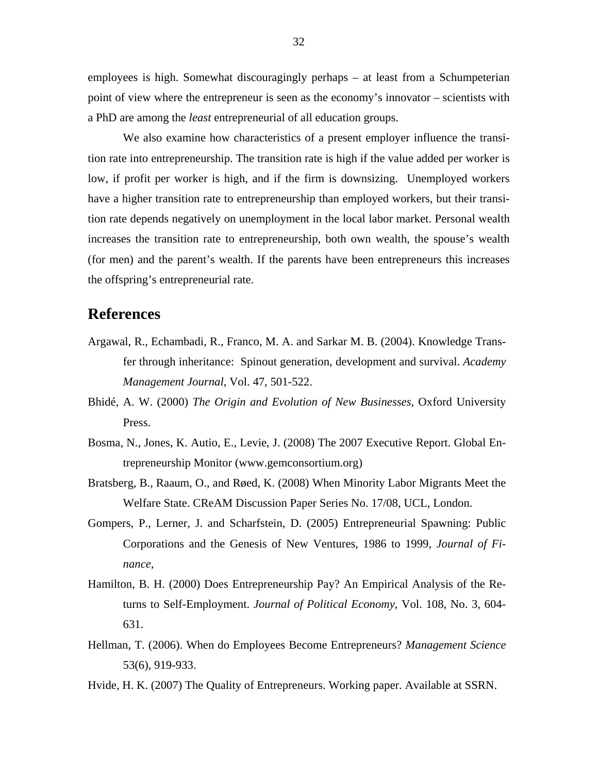employees is high. Somewhat discouragingly perhaps – at least from a Schumpeterian point of view where the entrepreneur is seen as the economy's innovator – scientists with a PhD are among the *least* entrepreneurial of all education groups.

We also examine how characteristics of a present employer influence the transition rate into entrepreneurship. The transition rate is high if the value added per worker is low, if profit per worker is high, and if the firm is downsizing. Unemployed workers have a higher transition rate to entrepreneurship than employed workers, but their transition rate depends negatively on unemployment in the local labor market. Personal wealth increases the transition rate to entrepreneurship, both own wealth, the spouse's wealth (for men) and the parent's wealth. If the parents have been entrepreneurs this increases the offspring's entrepreneurial rate.

#### **References**

- Argawal, R., Echambadi, R., Franco, M. A. and Sarkar M. B. (2004). Knowledge Transfer through inheritance: Spinout generation, development and survival. *Academy Management Journal*, Vol. 47, 501-522.
- Bhidé, A. W. (2000) *The Origin and Evolution of New Businesses*, Oxford University Press.
- Bosma, N., Jones, K. Autio, E., Levie, J. (2008) The 2007 Executive Report. Global Entrepreneurship Monitor (www.gemconsortium.org)
- Bratsberg, B., Raaum, O., and Røed, K. (2008) When Minority Labor Migrants Meet the Welfare State. CReAM Discussion Paper Series No. 17/08, UCL, London.
- Gompers, P., Lerner, J. and Scharfstein, D. (2005) Entrepreneurial Spawning: Public Corporations and the Genesis of New Ventures, 1986 to 1999, *Journal of Finance,*
- Hamilton, B. H. (2000) Does Entrepreneurship Pay? An Empirical Analysis of the Returns to Self-Employment. *Journal of Political Economy*, Vol. 108, No. 3, 604- 631.
- Hellman, T. (2006). When do Employees Become Entrepreneurs? *Management Science* 53(6), 919-933.
- Hvide, H. K. (2007) The Quality of Entrepreneurs. Working paper. Available at SSRN.